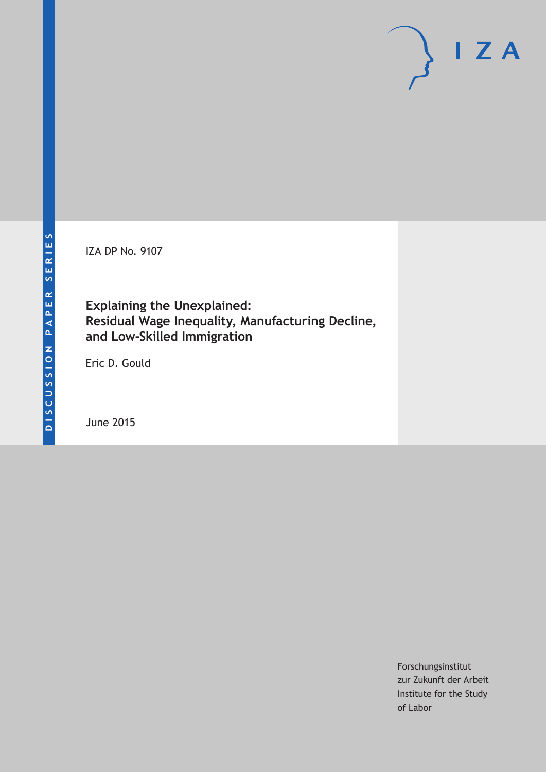IZA DP No. 9107

### **Explaining the Unexplained: Residual Wage Inequality, Manufacturing Decline, and Low-Skilled Immigration**

Eric D. Gould

June 2015

Forschungsinstitut zur Zukunft der Arbeit Institute for the Study of Labor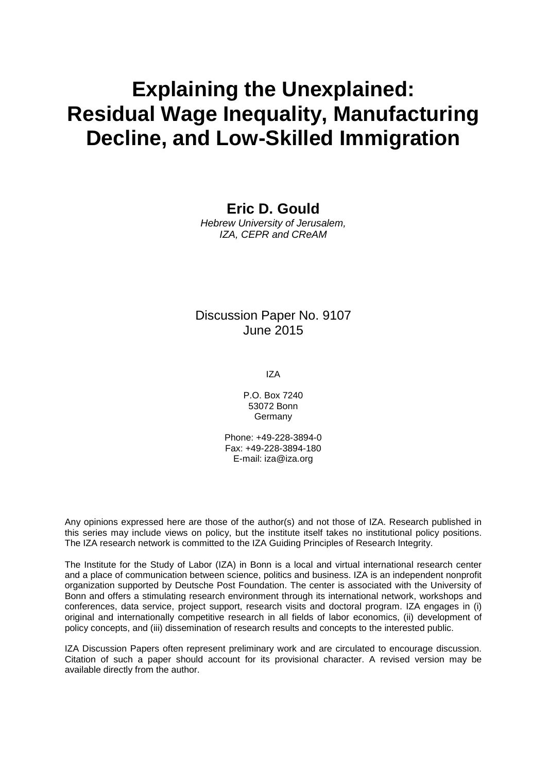# **Explaining the Unexplained: Residual Wage Inequality, Manufacturing Decline, and Low-Skilled Immigration**

**Eric D. Gould**

*Hebrew University of Jerusalem, IZA, CEPR and CReAM*

### Discussion Paper No. 9107 June 2015

IZA

P.O. Box 7240 53072 Bonn **Germany** 

Phone: +49-228-3894-0 Fax: +49-228-3894-180 E-mail: iza@iza.org

Any opinions expressed here are those of the author(s) and not those of IZA. Research published in this series may include views on policy, but the institute itself takes no institutional policy positions. The IZA research network is committed to the IZA Guiding Principles of Research Integrity.

The Institute for the Study of Labor (IZA) in Bonn is a local and virtual international research center and a place of communication between science, politics and business. IZA is an independent nonprofit organization supported by Deutsche Post Foundation. The center is associated with the University of Bonn and offers a stimulating research environment through its international network, workshops and conferences, data service, project support, research visits and doctoral program. IZA engages in (i) original and internationally competitive research in all fields of labor economics, (ii) development of policy concepts, and (iii) dissemination of research results and concepts to the interested public.

<span id="page-1-0"></span>IZA Discussion Papers often represent preliminary work and are circulated to encourage discussion. Citation of such a paper should account for its provisional character. A revised version may be available directly from the author.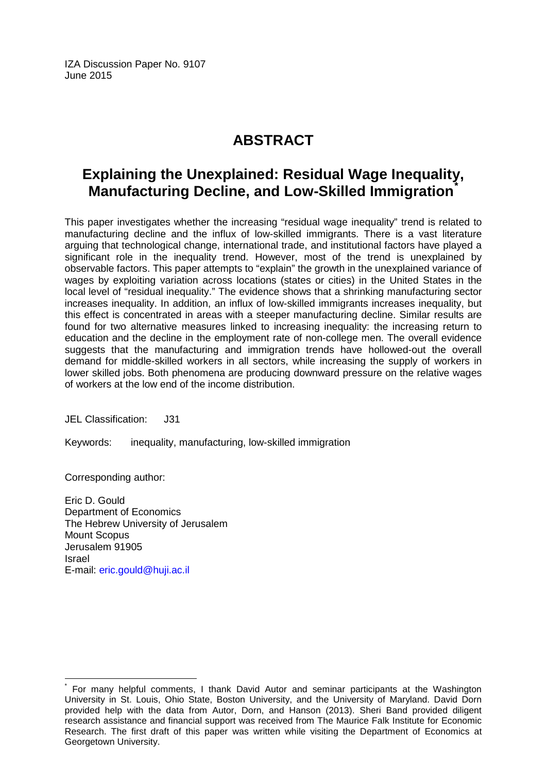IZA Discussion Paper No. 9107 June 2015

## **ABSTRACT**

# **Explaining the Unexplained: Residual Wage Inequality, Manufacturing Decline, and Low-Skilled Immigration[\\*](#page-1-0)**

This paper investigates whether the increasing "residual wage inequality" trend is related to manufacturing decline and the influx of low-skilled immigrants. There is a vast literature arguing that technological change, international trade, and institutional factors have played a significant role in the inequality trend. However, most of the trend is unexplained by observable factors. This paper attempts to "explain" the growth in the unexplained variance of wages by exploiting variation across locations (states or cities) in the United States in the local level of "residual inequality." The evidence shows that a shrinking manufacturing sector increases inequality. In addition, an influx of low-skilled immigrants increases inequality, but this effect is concentrated in areas with a steeper manufacturing decline. Similar results are found for two alternative measures linked to increasing inequality: the increasing return to education and the decline in the employment rate of non-college men. The overall evidence suggests that the manufacturing and immigration trends have hollowed-out the overall demand for middle-skilled workers in all sectors, while increasing the supply of workers in lower skilled jobs. Both phenomena are producing downward pressure on the relative wages of workers at the low end of the income distribution.

JEL Classification: J31

Keywords: inequality, manufacturing, low-skilled immigration

Corresponding author:

Eric D. Gould Department of Economics The Hebrew University of Jerusalem Mount Scopus Jerusalem 91905 Israel E-mail: [eric.gould@huji.ac.il](mailto:eric.gould@huji.ac.il)

For many helpful comments, I thank David Autor and seminar participants at the Washington University in St. Louis, Ohio State, Boston University, and the University of Maryland. David Dorn provided help with the data from Autor, Dorn, and Hanson (2013). Sheri Band provided diligent research assistance and financial support was received from The Maurice Falk Institute for Economic Research. The first draft of this paper was written while visiting the Department of Economics at Georgetown University.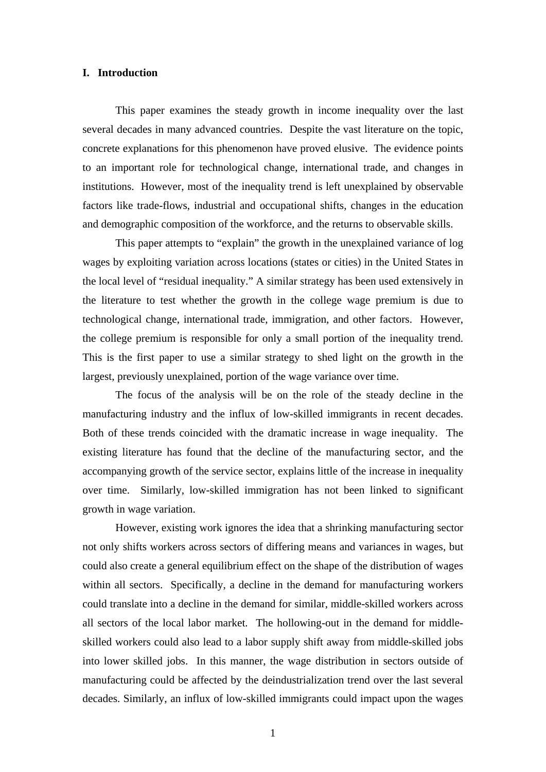#### **I. Introduction**

This paper examines the steady growth in income inequality over the last several decades in many advanced countries. Despite the vast literature on the topic, concrete explanations for this phenomenon have proved elusive. The evidence points to an important role for technological change, international trade, and changes in institutions. However, most of the inequality trend is left unexplained by observable factors like trade-flows, industrial and occupational shifts, changes in the education and demographic composition of the workforce, and the returns to observable skills.

This paper attempts to "explain" the growth in the unexplained variance of log wages by exploiting variation across locations (states or cities) in the United States in the local level of "residual inequality." A similar strategy has been used extensively in the literature to test whether the growth in the college wage premium is due to technological change, international trade, immigration, and other factors. However, the college premium is responsible for only a small portion of the inequality trend. This is the first paper to use a similar strategy to shed light on the growth in the largest, previously unexplained, portion of the wage variance over time.

The focus of the analysis will be on the role of the steady decline in the manufacturing industry and the influx of low-skilled immigrants in recent decades. Both of these trends coincided with the dramatic increase in wage inequality. The existing literature has found that the decline of the manufacturing sector, and the accompanying growth of the service sector, explains little of the increase in inequality over time. Similarly, low-skilled immigration has not been linked to significant growth in wage variation.

However, existing work ignores the idea that a shrinking manufacturing sector not only shifts workers across sectors of differing means and variances in wages, but could also create a general equilibrium effect on the shape of the distribution of wages within all sectors. Specifically, a decline in the demand for manufacturing workers could translate into a decline in the demand for similar, middle-skilled workers across all sectors of the local labor market. The hollowing-out in the demand for middleskilled workers could also lead to a labor supply shift away from middle-skilled jobs into lower skilled jobs. In this manner, the wage distribution in sectors outside of manufacturing could be affected by the deindustrialization trend over the last several decades. Similarly, an influx of low-skilled immigrants could impact upon the wages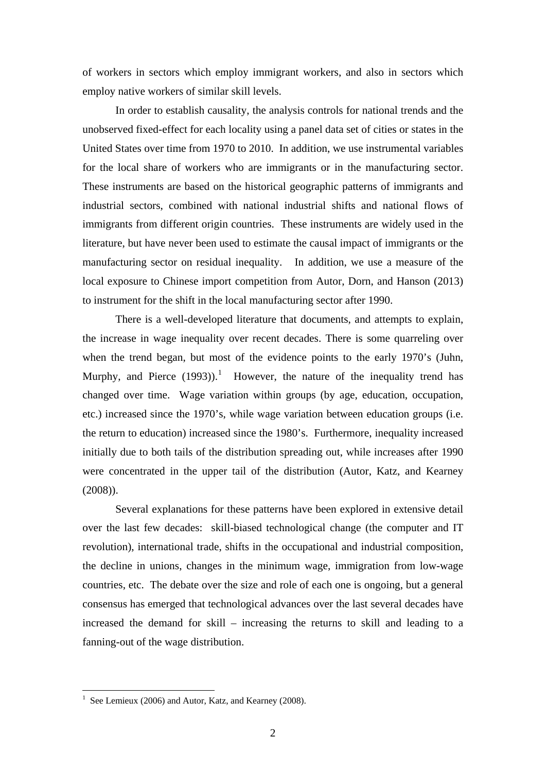of workers in sectors which employ immigrant workers, and also in sectors which employ native workers of similar skill levels.

In order to establish causality, the analysis controls for national trends and the unobserved fixed-effect for each locality using a panel data set of cities or states in the United States over time from 1970 to 2010. In addition, we use instrumental variables for the local share of workers who are immigrants or in the manufacturing sector. These instruments are based on the historical geographic patterns of immigrants and industrial sectors, combined with national industrial shifts and national flows of immigrants from different origin countries. These instruments are widely used in the literature, but have never been used to estimate the causal impact of immigrants or the manufacturing sector on residual inequality. In addition, we use a measure of the local exposure to Chinese import competition from Autor, Dorn, and Hanson (2013) to instrument for the shift in the local manufacturing sector after 1990.

There is a well-developed literature that documents, and attempts to explain, the increase in wage inequality over recent decades. There is some quarreling over when the trend began, but most of the evidence points to the early 1970's (Juhn, Murphy, and Pierce  $(1993)$  $(1993)$  $(1993)$ <sup>1</sup> However, the nature of the inequality trend has changed over time. Wage variation within groups (by age, education, occupation, etc.) increased since the 1970's, while wage variation between education groups (i.e. the return to education) increased since the 1980's. Furthermore, inequality increased initially due to both tails of the distribution spreading out, while increases after 1990 were concentrated in the upper tail of the distribution (Autor, Katz, and Kearney (2008)).

Several explanations for these patterns have been explored in extensive detail over the last few decades: skill-biased technological change (the computer and IT revolution), international trade, shifts in the occupational and industrial composition, the decline in unions, changes in the minimum wage, immigration from low-wage countries, etc. The debate over the size and role of each one is ongoing, but a general consensus has emerged that technological advances over the last several decades have increased the demand for skill – increasing the returns to skill and leading to a fanning-out of the wage distribution.

<span id="page-4-0"></span><sup>&</sup>lt;sup>1</sup> See Lemieux (2006) and Autor, Katz, and Kearney (2008).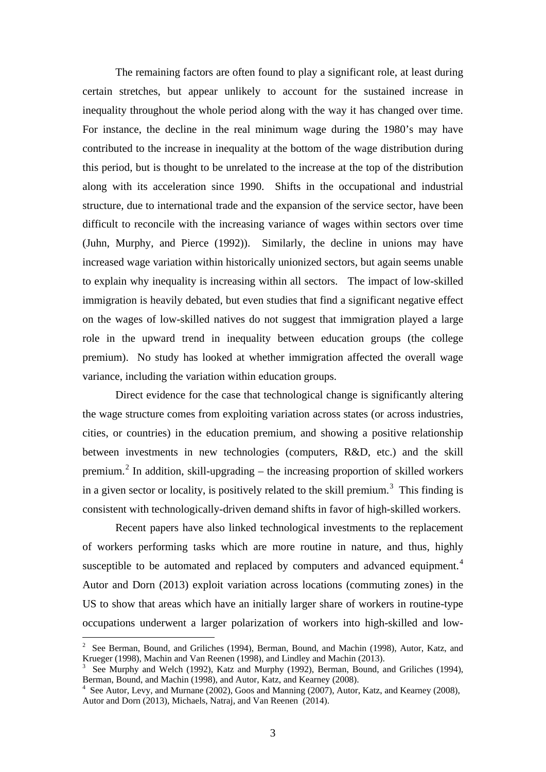The remaining factors are often found to play a significant role, at least during certain stretches, but appear unlikely to account for the sustained increase in inequality throughout the whole period along with the way it has changed over time. For instance, the decline in the real minimum wage during the 1980's may have contributed to the increase in inequality at the bottom of the wage distribution during this period, but is thought to be unrelated to the increase at the top of the distribution along with its acceleration since 1990. Shifts in the occupational and industrial structure, due to international trade and the expansion of the service sector, have been difficult to reconcile with the increasing variance of wages within sectors over time (Juhn, Murphy, and Pierce (1992)). Similarly, the decline in unions may have increased wage variation within historically unionized sectors, but again seems unable to explain why inequality is increasing within all sectors. The impact of low-skilled immigration is heavily debated, but even studies that find a significant negative effect on the wages of low-skilled natives do not suggest that immigration played a large role in the upward trend in inequality between education groups (the college premium). No study has looked at whether immigration affected the overall wage variance, including the variation within education groups.

Direct evidence for the case that technological change is significantly altering the wage structure comes from exploiting variation across states (or across industries, cities, or countries) in the education premium, and showing a positive relationship between investments in new technologies (computers, R&D, etc.) and the skill premium.<sup>[2](#page-5-0)</sup> In addition, skill-upgrading – the increasing proportion of skilled workers in a given sector or locality, is positively related to the skill premium.<sup>[3](#page-5-1)</sup> This finding is consistent with technologically-driven demand shifts in favor of high-skilled workers.

Recent papers have also linked technological investments to the replacement of workers performing tasks which are more routine in nature, and thus, highly susceptible to be automated and replaced by computers and advanced equipment. $4$ Autor and Dorn (2013) exploit variation across locations (commuting zones) in the US to show that areas which have an initially larger share of workers in routine-type occupations underwent a larger polarization of workers into high-skilled and low-

<span id="page-5-0"></span><sup>&</sup>lt;sup>2</sup> See Berman, Bound, and Griliches (1994), Berman, Bound, and Machin (1998), Autor, Katz, and Krueger (1998), Machin and Van Reenen (1998), and Lindley and Machin (2013).

<span id="page-5-1"></span>Kee Murphy and Welch (1992), Katz and Murphy (1992), Berman, Bound, and Griliches (1994), Berman, Bound, and Machin (1998), and Autor, Katz, and Kearney (2008).

<span id="page-5-2"></span><sup>4</sup> See Autor, Levy, and Murnane (2002), Goos and Manning (2007), Autor, Katz, and Kearney (2008), Autor and Dorn (2013), Michaels, Natraj, and Van Reenen (2014).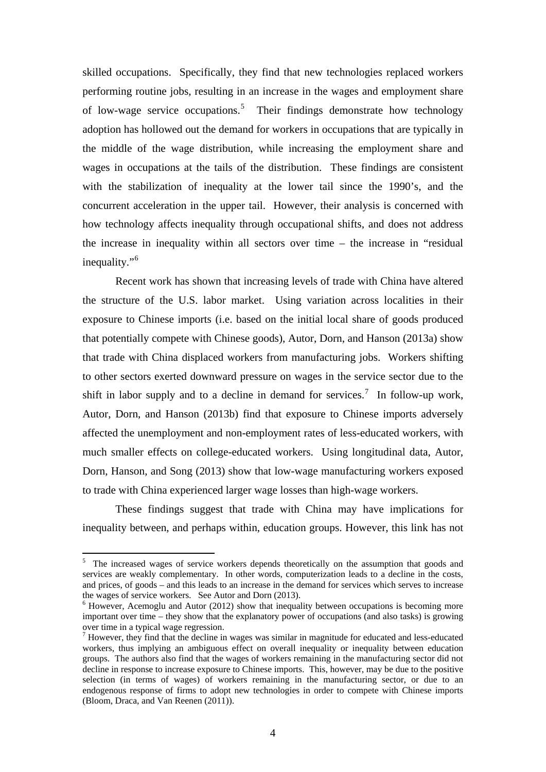skilled occupations. Specifically, they find that new technologies replaced workers performing routine jobs, resulting in an increase in the wages and employment share of low-wage service occupations.<sup>[5](#page-6-0)</sup> Their findings demonstrate how technology adoption has hollowed out the demand for workers in occupations that are typically in the middle of the wage distribution, while increasing the employment share and wages in occupations at the tails of the distribution. These findings are consistent with the stabilization of inequality at the lower tail since the 1990's, and the concurrent acceleration in the upper tail. However, their analysis is concerned with how technology affects inequality through occupational shifts, and does not address the increase in inequality within all sectors over time – the increase in "residual inequality."<sup>[6](#page-6-1)</sup>

Recent work has shown that increasing levels of trade with China have altered the structure of the U.S. labor market. Using variation across localities in their exposure to Chinese imports (i.e. based on the initial local share of goods produced that potentially compete with Chinese goods), Autor, Dorn, and Hanson (2013a) show that trade with China displaced workers from manufacturing jobs. Workers shifting to other sectors exerted downward pressure on wages in the service sector due to the shift in labor supply and to a decline in demand for services.<sup>[7](#page-6-2)</sup> In follow-up work, Autor, Dorn, and Hanson (2013b) find that exposure to Chinese imports adversely affected the unemployment and non-employment rates of less-educated workers, with much smaller effects on college-educated workers. Using longitudinal data, Autor, Dorn, Hanson, and Song (2013) show that low-wage manufacturing workers exposed to trade with China experienced larger wage losses than high-wage workers.

These findings suggest that trade with China may have implications for inequality between, and perhaps within, education groups. However, this link has not

<span id="page-6-0"></span><sup>&</sup>lt;sup>5</sup> The increased wages of service workers depends theoretically on the assumption that goods and services are weakly complementary. In other words, computerization leads to a decline in the costs, and prices, of goods – and this leads to an increase in the demand for services which serves to increase the wages of service workers. See Autor and Dorn (2013).

<span id="page-6-1"></span> $6$  However, Acemoglu and Autor (2012) show that inequality between occupations is becoming more important over time – they show that the explanatory power of occupations (and also tasks) is growing over time in a typical wage regression.

<span id="page-6-2"></span> $<sup>7</sup>$  However, they find that the decline in wages was similar in magnitude for educated and less-educated</sup> workers, thus implying an ambiguous effect on overall inequality or inequality between education groups. The authors also find that the wages of workers remaining in the manufacturing sector did not decline in response to increase exposure to Chinese imports. This, however, may be due to the positive selection (in terms of wages) of workers remaining in the manufacturing sector, or due to an endogenous response of firms to adopt new technologies in order to compete with Chinese imports (Bloom, Draca, and Van Reenen (2011)).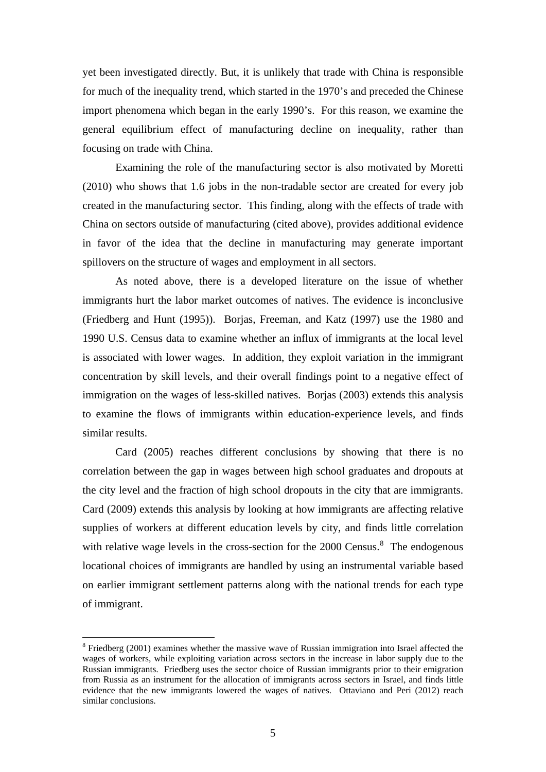yet been investigated directly. But, it is unlikely that trade with China is responsible for much of the inequality trend, which started in the 1970's and preceded the Chinese import phenomena which began in the early 1990's. For this reason, we examine the general equilibrium effect of manufacturing decline on inequality, rather than focusing on trade with China.

Examining the role of the manufacturing sector is also motivated by Moretti (2010) who shows that 1.6 jobs in the non-tradable sector are created for every job created in the manufacturing sector. This finding, along with the effects of trade with China on sectors outside of manufacturing (cited above), provides additional evidence in favor of the idea that the decline in manufacturing may generate important spillovers on the structure of wages and employment in all sectors.

As noted above, there is a developed literature on the issue of whether immigrants hurt the labor market outcomes of natives. The evidence is inconclusive (Friedberg and Hunt (1995)). Borjas, Freeman, and Katz (1997) use the 1980 and 1990 U.S. Census data to examine whether an influx of immigrants at the local level is associated with lower wages. In addition, they exploit variation in the immigrant concentration by skill levels, and their overall findings point to a negative effect of immigration on the wages of less-skilled natives. Borjas (2003) extends this analysis to examine the flows of immigrants within education-experience levels, and finds similar results.

Card (2005) reaches different conclusions by showing that there is no correlation between the gap in wages between high school graduates and dropouts at the city level and the fraction of high school dropouts in the city that are immigrants. Card (2009) extends this analysis by looking at how immigrants are affecting relative supplies of workers at different education levels by city, and finds little correlation with relative wage levels in the cross-section for the 2000 Census.<sup>[8](#page-7-0)</sup> The endogenous locational choices of immigrants are handled by using an instrumental variable based on earlier immigrant settlement patterns along with the national trends for each type of immigrant.

<span id="page-7-0"></span> $8$  Friedberg (2001) examines whether the massive wave of Russian immigration into Israel affected the wages of workers, while exploiting variation across sectors in the increase in labor supply due to the Russian immigrants. Friedberg uses the sector choice of Russian immigrants prior to their emigration from Russia as an instrument for the allocation of immigrants across sectors in Israel, and finds little evidence that the new immigrants lowered the wages of natives. Ottaviano and Peri (2012) reach similar conclusions.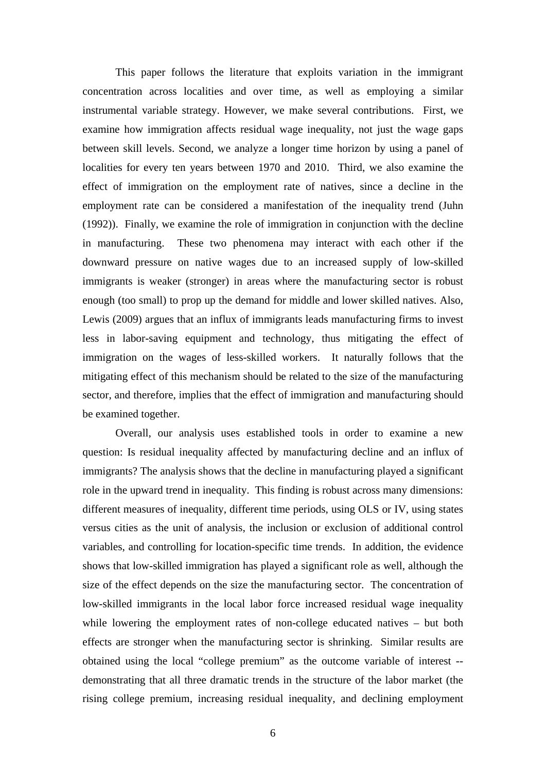This paper follows the literature that exploits variation in the immigrant concentration across localities and over time, as well as employing a similar instrumental variable strategy. However, we make several contributions. First, we examine how immigration affects residual wage inequality, not just the wage gaps between skill levels. Second, we analyze a longer time horizon by using a panel of localities for every ten years between 1970 and 2010. Third, we also examine the effect of immigration on the employment rate of natives, since a decline in the employment rate can be considered a manifestation of the inequality trend (Juhn (1992)). Finally, we examine the role of immigration in conjunction with the decline in manufacturing. These two phenomena may interact with each other if the downward pressure on native wages due to an increased supply of low-skilled immigrants is weaker (stronger) in areas where the manufacturing sector is robust enough (too small) to prop up the demand for middle and lower skilled natives. Also, Lewis (2009) argues that an influx of immigrants leads manufacturing firms to invest less in labor-saving equipment and technology, thus mitigating the effect of immigration on the wages of less-skilled workers. It naturally follows that the mitigating effect of this mechanism should be related to the size of the manufacturing sector, and therefore, implies that the effect of immigration and manufacturing should be examined together.

Overall, our analysis uses established tools in order to examine a new question: Is residual inequality affected by manufacturing decline and an influx of immigrants? The analysis shows that the decline in manufacturing played a significant role in the upward trend in inequality. This finding is robust across many dimensions: different measures of inequality, different time periods, using OLS or IV, using states versus cities as the unit of analysis, the inclusion or exclusion of additional control variables, and controlling for location-specific time trends. In addition, the evidence shows that low-skilled immigration has played a significant role as well, although the size of the effect depends on the size the manufacturing sector. The concentration of low-skilled immigrants in the local labor force increased residual wage inequality while lowering the employment rates of non-college educated natives – but both effects are stronger when the manufacturing sector is shrinking. Similar results are obtained using the local "college premium" as the outcome variable of interest - demonstrating that all three dramatic trends in the structure of the labor market (the rising college premium, increasing residual inequality, and declining employment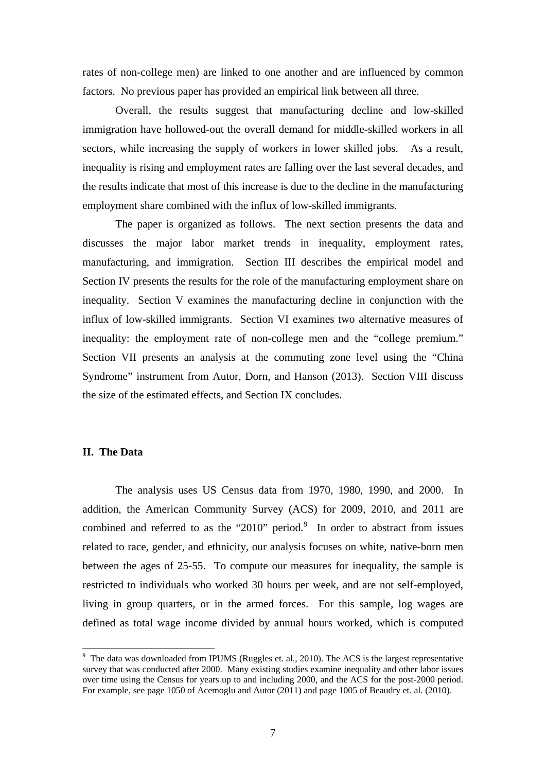rates of non-college men) are linked to one another and are influenced by common factors. No previous paper has provided an empirical link between all three.

Overall, the results suggest that manufacturing decline and low-skilled immigration have hollowed-out the overall demand for middle-skilled workers in all sectors, while increasing the supply of workers in lower skilled jobs. As a result, inequality is rising and employment rates are falling over the last several decades, and the results indicate that most of this increase is due to the decline in the manufacturing employment share combined with the influx of low-skilled immigrants.

The paper is organized as follows. The next section presents the data and discusses the major labor market trends in inequality, employment rates, manufacturing, and immigration. Section III describes the empirical model and Section IV presents the results for the role of the manufacturing employment share on inequality. Section V examines the manufacturing decline in conjunction with the influx of low-skilled immigrants. Section VI examines two alternative measures of inequality: the employment rate of non-college men and the "college premium." Section VII presents an analysis at the commuting zone level using the "China Syndrome" instrument from Autor, Dorn, and Hanson (2013). Section VIII discuss the size of the estimated effects, and Section IX concludes.

#### **II. The Data**

The analysis uses US Census data from 1970, 1980, 1990, and 2000. In addition, the American Community Survey (ACS) for 2009, 2010, and 2011 are combined and referred to as the "2010" period. $9\degree$  $9\degree$  In order to abstract from issues related to race, gender, and ethnicity, our analysis focuses on white, native-born men between the ages of 25-55. To compute our measures for inequality, the sample is restricted to individuals who worked 30 hours per week, and are not self-employed, living in group quarters, or in the armed forces. For this sample, log wages are defined as total wage income divided by annual hours worked, which is computed

<span id="page-9-0"></span> $9$  The data was downloaded from IPUMS (Ruggles et. al., 2010). The ACS is the largest representative survey that was conducted after 2000. Many existing studies examine inequality and other labor issues over time using the Census for years up to and including 2000, and the ACS for the post-2000 period. For example, see page 1050 of Acemoglu and Autor (2011) and page 1005 of Beaudry et. al. (2010).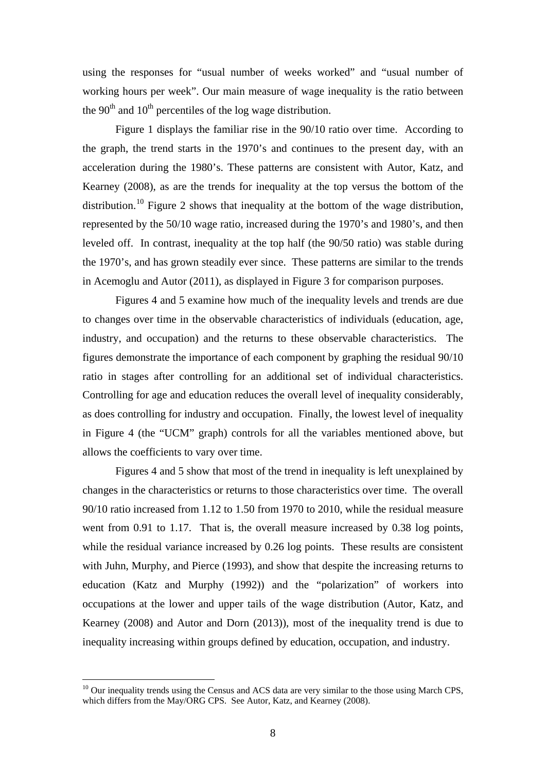using the responses for "usual number of weeks worked" and "usual number of working hours per week". Our main measure of wage inequality is the ratio between the  $90<sup>th</sup>$  and  $10<sup>th</sup>$  percentiles of the log wage distribution.

Figure 1 displays the familiar rise in the 90/10 ratio over time. According to the graph, the trend starts in the 1970's and continues to the present day, with an acceleration during the 1980's. These patterns are consistent with Autor, Katz, and Kearney (2008), as are the trends for inequality at the top versus the bottom of the distribution.<sup>[10](#page-10-0)</sup> Figure 2 shows that inequality at the bottom of the wage distribution, represented by the 50/10 wage ratio, increased during the 1970's and 1980's, and then leveled off. In contrast, inequality at the top half (the 90/50 ratio) was stable during the 1970's, and has grown steadily ever since. These patterns are similar to the trends in Acemoglu and Autor (2011), as displayed in Figure 3 for comparison purposes.

Figures 4 and 5 examine how much of the inequality levels and trends are due to changes over time in the observable characteristics of individuals (education, age, industry, and occupation) and the returns to these observable characteristics. The figures demonstrate the importance of each component by graphing the residual 90/10 ratio in stages after controlling for an additional set of individual characteristics. Controlling for age and education reduces the overall level of inequality considerably, as does controlling for industry and occupation. Finally, the lowest level of inequality in Figure 4 (the "UCM" graph) controls for all the variables mentioned above, but allows the coefficients to vary over time.

Figures 4 and 5 show that most of the trend in inequality is left unexplained by changes in the characteristics or returns to those characteristics over time. The overall 90/10 ratio increased from 1.12 to 1.50 from 1970 to 2010, while the residual measure went from 0.91 to 1.17. That is, the overall measure increased by 0.38 log points, while the residual variance increased by 0.26 log points. These results are consistent with Juhn, Murphy, and Pierce (1993), and show that despite the increasing returns to education (Katz and Murphy (1992)) and the "polarization" of workers into occupations at the lower and upper tails of the wage distribution (Autor, Katz, and Kearney (2008) and Autor and Dorn (2013)), most of the inequality trend is due to inequality increasing within groups defined by education, occupation, and industry.

<span id="page-10-0"></span> $10$  Our inequality trends using the Census and ACS data are very similar to the those using March CPS, which differs from the May/ORG CPS. See Autor, Katz, and Kearney (2008).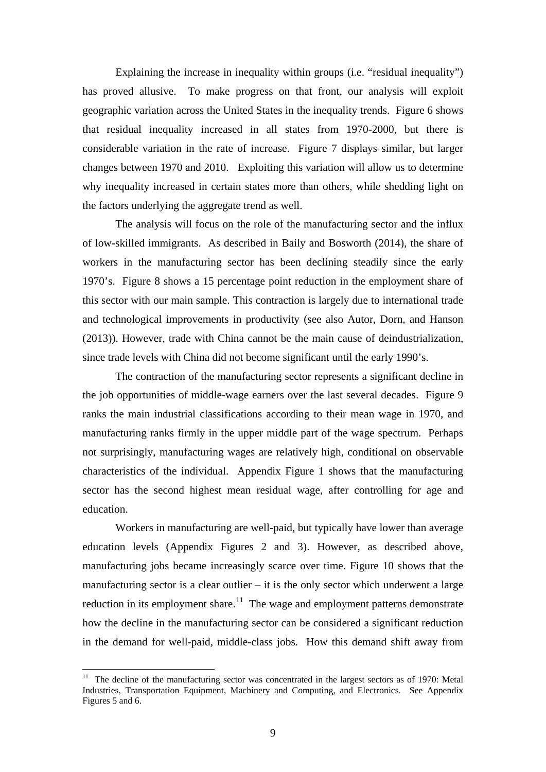Explaining the increase in inequality within groups (i.e. "residual inequality") has proved allusive. To make progress on that front, our analysis will exploit geographic variation across the United States in the inequality trends. Figure 6 shows that residual inequality increased in all states from 1970-2000, but there is considerable variation in the rate of increase. Figure 7 displays similar, but larger changes between 1970 and 2010. Exploiting this variation will allow us to determine why inequality increased in certain states more than others, while shedding light on the factors underlying the aggregate trend as well.

The analysis will focus on the role of the manufacturing sector and the influx of low-skilled immigrants. As described in Baily and Bosworth (2014), the share of workers in the manufacturing sector has been declining steadily since the early 1970's. Figure 8 shows a 15 percentage point reduction in the employment share of this sector with our main sample. This contraction is largely due to international trade and technological improvements in productivity (see also Autor, Dorn, and Hanson (2013)). However, trade with China cannot be the main cause of deindustrialization, since trade levels with China did not become significant until the early 1990's.

The contraction of the manufacturing sector represents a significant decline in the job opportunities of middle-wage earners over the last several decades. Figure 9 ranks the main industrial classifications according to their mean wage in 1970, and manufacturing ranks firmly in the upper middle part of the wage spectrum. Perhaps not surprisingly, manufacturing wages are relatively high, conditional on observable characteristics of the individual. Appendix Figure 1 shows that the manufacturing sector has the second highest mean residual wage, after controlling for age and education.

Workers in manufacturing are well-paid, but typically have lower than average education levels (Appendix Figures 2 and 3). However, as described above, manufacturing jobs became increasingly scarce over time. Figure 10 shows that the manufacturing sector is a clear outlier  $-$  it is the only sector which underwent a large reduction in its employment share.<sup>[11](#page-11-0)</sup> The wage and employment patterns demonstrate how the decline in the manufacturing sector can be considered a significant reduction in the demand for well-paid, middle-class jobs. How this demand shift away from

<span id="page-11-0"></span> $11$  The decline of the manufacturing sector was concentrated in the largest sectors as of 1970: Metal Industries, Transportation Equipment, Machinery and Computing, and Electronics. See Appendix Figures 5 and 6.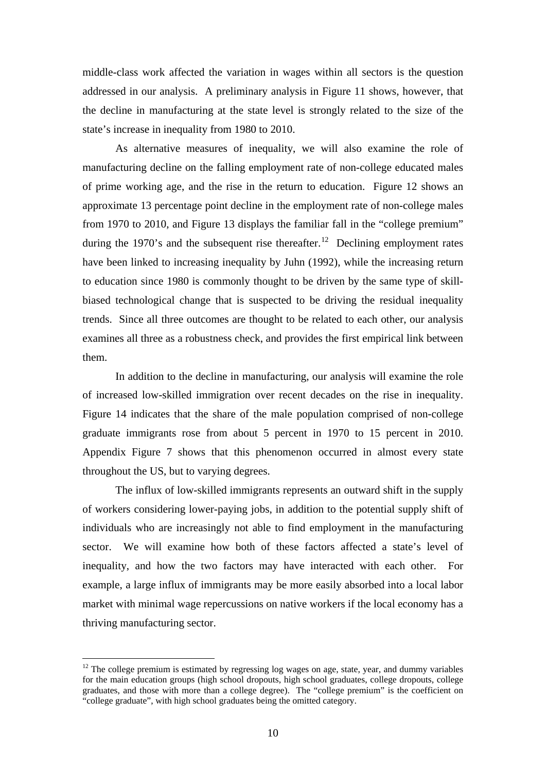middle-class work affected the variation in wages within all sectors is the question addressed in our analysis. A preliminary analysis in Figure 11 shows, however, that the decline in manufacturing at the state level is strongly related to the size of the state's increase in inequality from 1980 to 2010.

As alternative measures of inequality, we will also examine the role of manufacturing decline on the falling employment rate of non-college educated males of prime working age, and the rise in the return to education. Figure 12 shows an approximate 13 percentage point decline in the employment rate of non-college males from 1970 to 2010, and Figure 13 displays the familiar fall in the "college premium" during the 1970's and the subsequent rise thereafter.<sup>[12](#page-12-0)</sup> Declining employment rates have been linked to increasing inequality by Juhn (1992), while the increasing return to education since 1980 is commonly thought to be driven by the same type of skillbiased technological change that is suspected to be driving the residual inequality trends. Since all three outcomes are thought to be related to each other, our analysis examines all three as a robustness check, and provides the first empirical link between them.

In addition to the decline in manufacturing, our analysis will examine the role of increased low-skilled immigration over recent decades on the rise in inequality. Figure 14 indicates that the share of the male population comprised of non-college graduate immigrants rose from about 5 percent in 1970 to 15 percent in 2010. Appendix Figure 7 shows that this phenomenon occurred in almost every state throughout the US, but to varying degrees.

The influx of low-skilled immigrants represents an outward shift in the supply of workers considering lower-paying jobs, in addition to the potential supply shift of individuals who are increasingly not able to find employment in the manufacturing sector. We will examine how both of these factors affected a state's level of inequality, and how the two factors may have interacted with each other. For example, a large influx of immigrants may be more easily absorbed into a local labor market with minimal wage repercussions on native workers if the local economy has a thriving manufacturing sector.

<span id="page-12-0"></span> $12$  The college premium is estimated by regressing log wages on age, state, year, and dummy variables for the main education groups (high school dropouts, high school graduates, college dropouts, college graduates, and those with more than a college degree). The "college premium" is the coefficient on "college graduate", with high school graduates being the omitted category.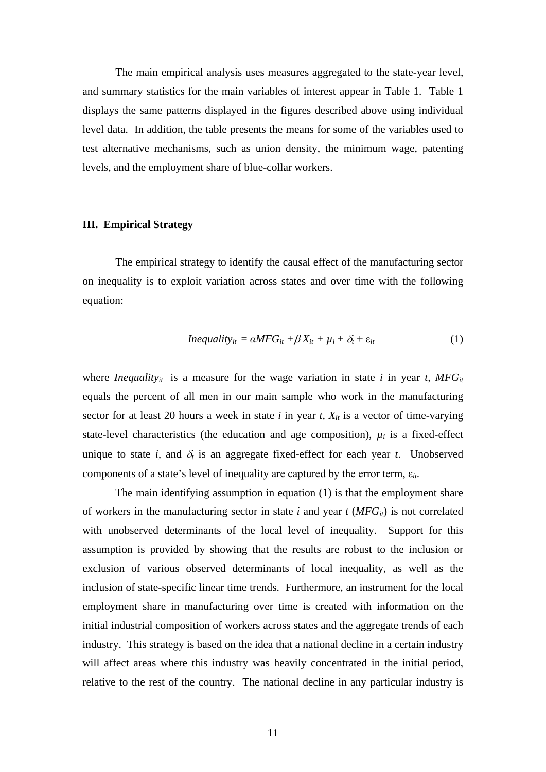The main empirical analysis uses measures aggregated to the state-year level, and summary statistics for the main variables of interest appear in Table 1. Table 1 displays the same patterns displayed in the figures described above using individual level data. In addition, the table presents the means for some of the variables used to test alternative mechanisms, such as union density, the minimum wage, patenting levels, and the employment share of blue-collar workers.

#### **III. Empirical Strategy**

The empirical strategy to identify the causal effect of the manufacturing sector on inequality is to exploit variation across states and over time with the following equation:

*Inequality<sub>it</sub>* = 
$$
\alpha MFG_{it} + \beta X_{it} + \mu_i + \delta_t + \varepsilon_{it}
$$
 (1)

where *Inequality<sub>it</sub>* is a measure for the wage variation in state *i* in year *t*,  $MFG_{it}$ equals the percent of all men in our main sample who work in the manufacturing sector for at least 20 hours a week in state  $i$  in year  $t$ ,  $X_{it}$  is a vector of time-varying state-level characteristics (the education and age composition),  $\mu_i$  is a fixed-effect unique to state  $i$ , and  $\delta$ <sub>t</sub> is an aggregate fixed-effect for each year  $t$ . Unobserved components of a state's level of inequality are captured by the error term, ε*it*.

The main identifying assumption in equation (1) is that the employment share of workers in the manufacturing sector in state  $i$  and year  $t$  ( $MFG_{it}$ ) is not correlated with unobserved determinants of the local level of inequality. Support for this assumption is provided by showing that the results are robust to the inclusion or exclusion of various observed determinants of local inequality, as well as the inclusion of state-specific linear time trends. Furthermore, an instrument for the local employment share in manufacturing over time is created with information on the initial industrial composition of workers across states and the aggregate trends of each industry. This strategy is based on the idea that a national decline in a certain industry will affect areas where this industry was heavily concentrated in the initial period, relative to the rest of the country. The national decline in any particular industry is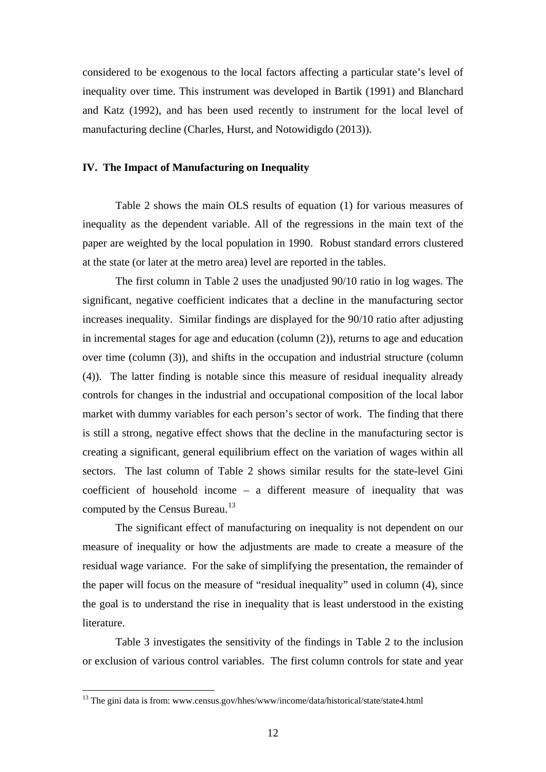considered to be exogenous to the local factors affecting a particular state's level of inequality over time. This instrument was developed in Bartik (1991) and Blanchard and Katz (1992), and has been used recently to instrument for the local level of manufacturing decline (Charles, Hurst, and Notowidigdo (2013)).

#### **IV. The Impact of Manufacturing on Inequality**

Table 2 shows the main OLS results of equation (1) for various measures of inequality as the dependent variable. All of the regressions in the main text of the paper are weighted by the local population in 1990. Robust standard errors clustered at the state (or later at the metro area) level are reported in the tables.

The first column in Table 2 uses the unadjusted 90/10 ratio in log wages. The significant, negative coefficient indicates that a decline in the manufacturing sector increases inequality. Similar findings are displayed for the 90/10 ratio after adjusting in incremental stages for age and education (column (2)), returns to age and education over time (column (3)), and shifts in the occupation and industrial structure (column (4)). The latter finding is notable since this measure of residual inequality already controls for changes in the industrial and occupational composition of the local labor market with dummy variables for each person's sector of work. The finding that there is still a strong, negative effect shows that the decline in the manufacturing sector is creating a significant, general equilibrium effect on the variation of wages within all sectors. The last column of Table 2 shows similar results for the state-level Gini coefficient of household income – a different measure of inequality that was computed by the Census Bureau.<sup>[13](#page-14-0)</sup>

The significant effect of manufacturing on inequality is not dependent on our measure of inequality or how the adjustments are made to create a measure of the residual wage variance. For the sake of simplifying the presentation, the remainder of the paper will focus on the measure of "residual inequality" used in column (4), since the goal is to understand the rise in inequality that is least understood in the existing literature.

Table 3 investigates the sensitivity of the findings in Table 2 to the inclusion or exclusion of various control variables. The first column controls for state and year

<span id="page-14-0"></span><sup>&</sup>lt;sup>13</sup> The gini data is from: www.census.gov/hhes/www/income/data/historical/state/state4.html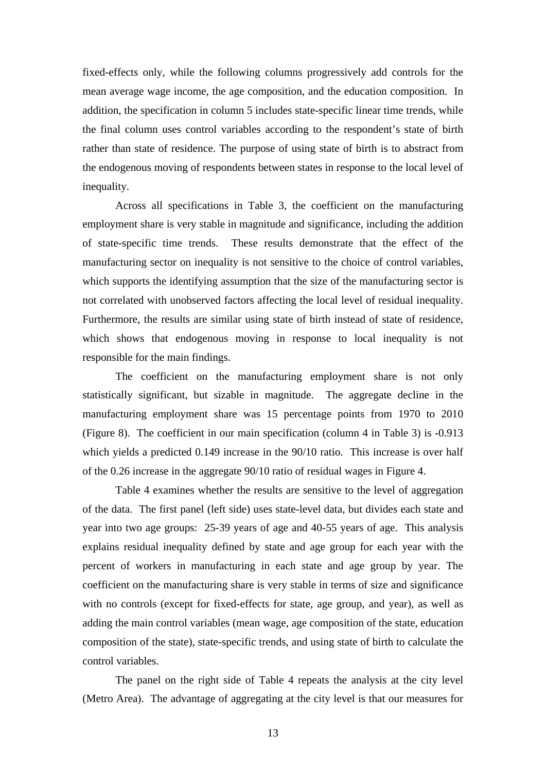fixed-effects only, while the following columns progressively add controls for the mean average wage income, the age composition, and the education composition. In addition, the specification in column 5 includes state-specific linear time trends, while the final column uses control variables according to the respondent's state of birth rather than state of residence. The purpose of using state of birth is to abstract from the endogenous moving of respondents between states in response to the local level of inequality.

Across all specifications in Table 3, the coefficient on the manufacturing employment share is very stable in magnitude and significance, including the addition of state-specific time trends. These results demonstrate that the effect of the manufacturing sector on inequality is not sensitive to the choice of control variables, which supports the identifying assumption that the size of the manufacturing sector is not correlated with unobserved factors affecting the local level of residual inequality. Furthermore, the results are similar using state of birth instead of state of residence, which shows that endogenous moving in response to local inequality is not responsible for the main findings.

The coefficient on the manufacturing employment share is not only statistically significant, but sizable in magnitude. The aggregate decline in the manufacturing employment share was 15 percentage points from 1970 to 2010 (Figure 8). The coefficient in our main specification (column 4 in Table 3) is -0.913 which yields a predicted 0.149 increase in the 90/10 ratio. This increase is over half of the 0.26 increase in the aggregate 90/10 ratio of residual wages in Figure 4.

Table 4 examines whether the results are sensitive to the level of aggregation of the data. The first panel (left side) uses state-level data, but divides each state and year into two age groups: 25-39 years of age and 40-55 years of age. This analysis explains residual inequality defined by state and age group for each year with the percent of workers in manufacturing in each state and age group by year. The coefficient on the manufacturing share is very stable in terms of size and significance with no controls (except for fixed-effects for state, age group, and year), as well as adding the main control variables (mean wage, age composition of the state, education composition of the state), state-specific trends, and using state of birth to calculate the control variables.

The panel on the right side of Table 4 repeats the analysis at the city level (Metro Area). The advantage of aggregating at the city level is that our measures for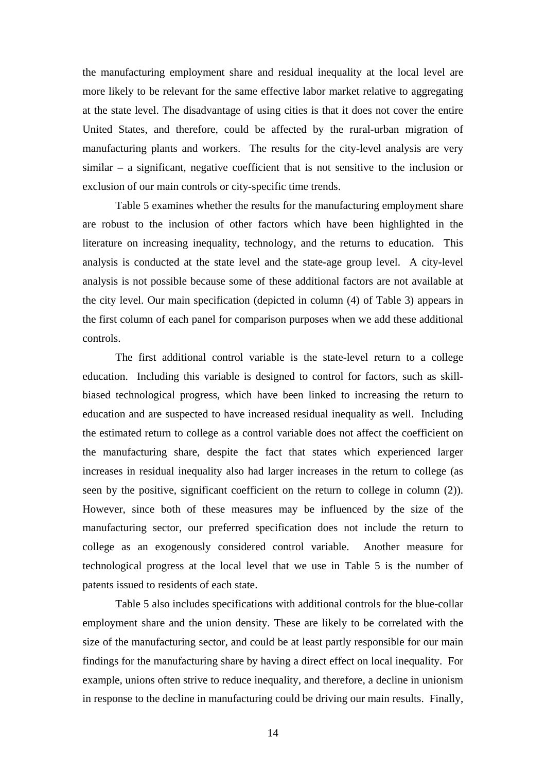the manufacturing employment share and residual inequality at the local level are more likely to be relevant for the same effective labor market relative to aggregating at the state level. The disadvantage of using cities is that it does not cover the entire United States, and therefore, could be affected by the rural-urban migration of manufacturing plants and workers. The results for the city-level analysis are very similar – a significant, negative coefficient that is not sensitive to the inclusion or exclusion of our main controls or city-specific time trends.

Table 5 examines whether the results for the manufacturing employment share are robust to the inclusion of other factors which have been highlighted in the literature on increasing inequality, technology, and the returns to education. This analysis is conducted at the state level and the state-age group level. A city-level analysis is not possible because some of these additional factors are not available at the city level. Our main specification (depicted in column (4) of Table 3) appears in the first column of each panel for comparison purposes when we add these additional controls.

The first additional control variable is the state-level return to a college education. Including this variable is designed to control for factors, such as skillbiased technological progress, which have been linked to increasing the return to education and are suspected to have increased residual inequality as well. Including the estimated return to college as a control variable does not affect the coefficient on the manufacturing share, despite the fact that states which experienced larger increases in residual inequality also had larger increases in the return to college (as seen by the positive, significant coefficient on the return to college in column (2)). However, since both of these measures may be influenced by the size of the manufacturing sector, our preferred specification does not include the return to college as an exogenously considered control variable. Another measure for technological progress at the local level that we use in Table 5 is the number of patents issued to residents of each state.

Table 5 also includes specifications with additional controls for the blue-collar employment share and the union density. These are likely to be correlated with the size of the manufacturing sector, and could be at least partly responsible for our main findings for the manufacturing share by having a direct effect on local inequality. For example, unions often strive to reduce inequality, and therefore, a decline in unionism in response to the decline in manufacturing could be driving our main results. Finally,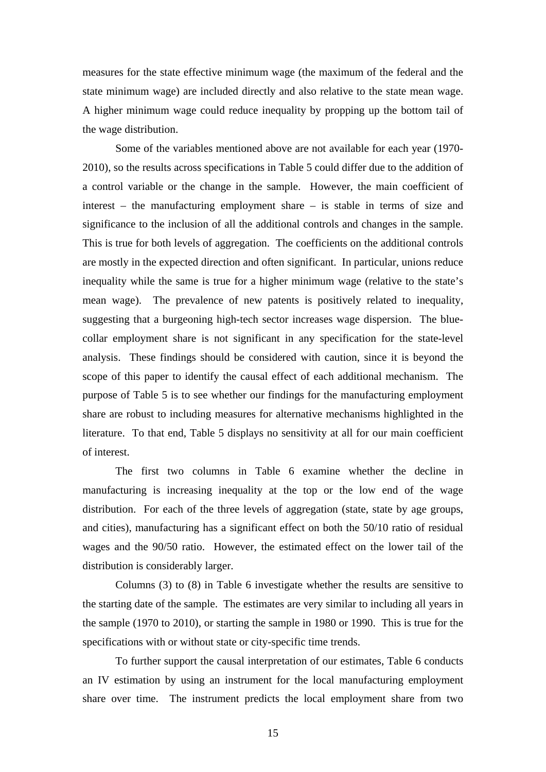measures for the state effective minimum wage (the maximum of the federal and the state minimum wage) are included directly and also relative to the state mean wage. A higher minimum wage could reduce inequality by propping up the bottom tail of the wage distribution.

Some of the variables mentioned above are not available for each year (1970- 2010), so the results across specifications in Table 5 could differ due to the addition of a control variable or the change in the sample. However, the main coefficient of interest – the manufacturing employment share – is stable in terms of size and significance to the inclusion of all the additional controls and changes in the sample. This is true for both levels of aggregation. The coefficients on the additional controls are mostly in the expected direction and often significant. In particular, unions reduce inequality while the same is true for a higher minimum wage (relative to the state's mean wage). The prevalence of new patents is positively related to inequality, suggesting that a burgeoning high-tech sector increases wage dispersion. The bluecollar employment share is not significant in any specification for the state-level analysis. These findings should be considered with caution, since it is beyond the scope of this paper to identify the causal effect of each additional mechanism. The purpose of Table 5 is to see whether our findings for the manufacturing employment share are robust to including measures for alternative mechanisms highlighted in the literature. To that end, Table 5 displays no sensitivity at all for our main coefficient of interest.

The first two columns in Table 6 examine whether the decline in manufacturing is increasing inequality at the top or the low end of the wage distribution. For each of the three levels of aggregation (state, state by age groups, and cities), manufacturing has a significant effect on both the 50/10 ratio of residual wages and the 90/50 ratio. However, the estimated effect on the lower tail of the distribution is considerably larger.

Columns (3) to (8) in Table 6 investigate whether the results are sensitive to the starting date of the sample. The estimates are very similar to including all years in the sample (1970 to 2010), or starting the sample in 1980 or 1990. This is true for the specifications with or without state or city-specific time trends.

To further support the causal interpretation of our estimates, Table 6 conducts an IV estimation by using an instrument for the local manufacturing employment share over time. The instrument predicts the local employment share from two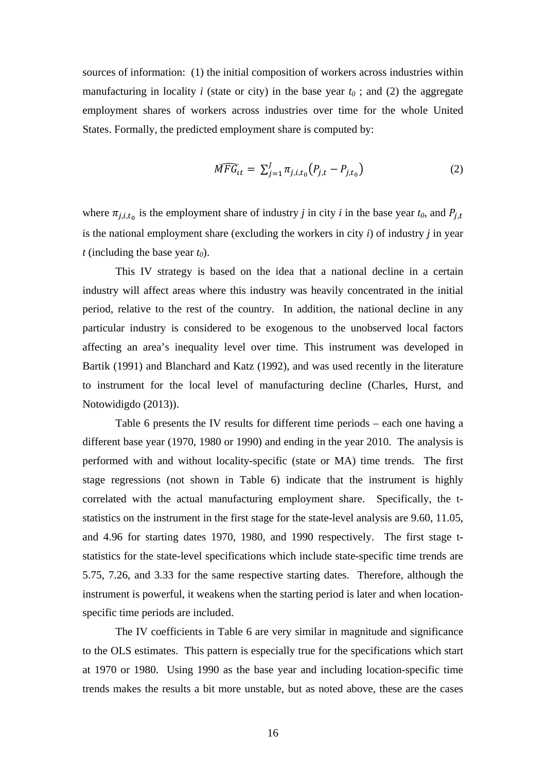sources of information: (1) the initial composition of workers across industries within manufacturing in locality *i* (state or city) in the base year  $t_0$ ; and (2) the aggregate employment shares of workers across industries over time for the whole United States. Formally, the predicted employment share is computed by:

$$
\widehat{MFG}_{it} = \sum_{j=1}^{J} \pi_{j,i,t_0} \big( P_{j,t} - P_{j,t_0} \big) \tag{2}
$$

where  $\pi_{j,i,t_0}$  is the employment share of industry *j* in city *i* in the base year  $t_0$ , and  $P_{j,t}$ is the national employment share (excluding the workers in city *i*) of industry *j* in year *t* (including the base year  $t_0$ ).

This IV strategy is based on the idea that a national decline in a certain industry will affect areas where this industry was heavily concentrated in the initial period, relative to the rest of the country. In addition, the national decline in any particular industry is considered to be exogenous to the unobserved local factors affecting an area's inequality level over time. This instrument was developed in Bartik (1991) and Blanchard and Katz (1992), and was used recently in the literature to instrument for the local level of manufacturing decline (Charles, Hurst, and Notowidigdo (2013)).

Table 6 presents the IV results for different time periods – each one having a different base year (1970, 1980 or 1990) and ending in the year 2010. The analysis is performed with and without locality-specific (state or MA) time trends. The first stage regressions (not shown in Table 6) indicate that the instrument is highly correlated with the actual manufacturing employment share. Specifically, the tstatistics on the instrument in the first stage for the state-level analysis are 9.60, 11.05, and 4.96 for starting dates 1970, 1980, and 1990 respectively. The first stage tstatistics for the state-level specifications which include state-specific time trends are 5.75, 7.26, and 3.33 for the same respective starting dates. Therefore, although the instrument is powerful, it weakens when the starting period is later and when locationspecific time periods are included.

The IV coefficients in Table 6 are very similar in magnitude and significance to the OLS estimates. This pattern is especially true for the specifications which start at 1970 or 1980. Using 1990 as the base year and including location-specific time trends makes the results a bit more unstable, but as noted above, these are the cases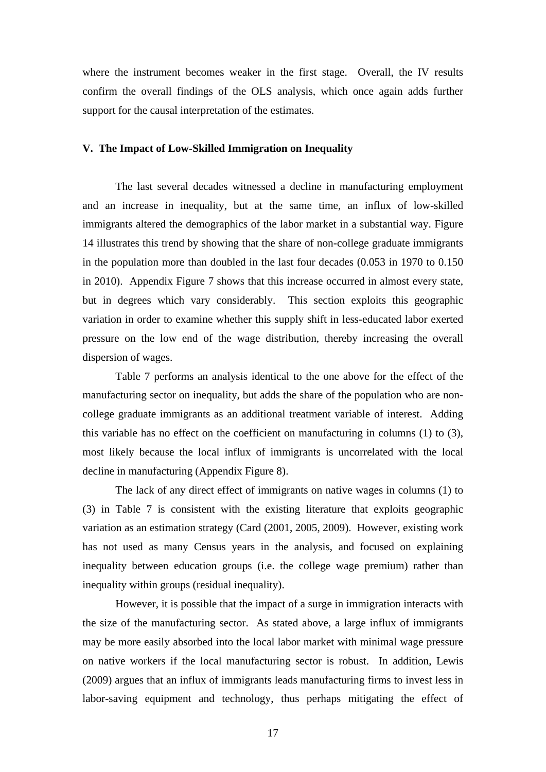where the instrument becomes weaker in the first stage. Overall, the IV results confirm the overall findings of the OLS analysis, which once again adds further support for the causal interpretation of the estimates.

#### **V. The Impact of Low-Skilled Immigration on Inequality**

The last several decades witnessed a decline in manufacturing employment and an increase in inequality, but at the same time, an influx of low-skilled immigrants altered the demographics of the labor market in a substantial way. Figure 14 illustrates this trend by showing that the share of non-college graduate immigrants in the population more than doubled in the last four decades (0.053 in 1970 to 0.150 in 2010). Appendix Figure 7 shows that this increase occurred in almost every state, but in degrees which vary considerably. This section exploits this geographic variation in order to examine whether this supply shift in less-educated labor exerted pressure on the low end of the wage distribution, thereby increasing the overall dispersion of wages.

Table 7 performs an analysis identical to the one above for the effect of the manufacturing sector on inequality, but adds the share of the population who are noncollege graduate immigrants as an additional treatment variable of interest. Adding this variable has no effect on the coefficient on manufacturing in columns (1) to (3), most likely because the local influx of immigrants is uncorrelated with the local decline in manufacturing (Appendix Figure 8).

The lack of any direct effect of immigrants on native wages in columns (1) to (3) in Table 7 is consistent with the existing literature that exploits geographic variation as an estimation strategy (Card (2001, 2005, 2009). However, existing work has not used as many Census years in the analysis, and focused on explaining inequality between education groups (i.e. the college wage premium) rather than inequality within groups (residual inequality).

However, it is possible that the impact of a surge in immigration interacts with the size of the manufacturing sector. As stated above, a large influx of immigrants may be more easily absorbed into the local labor market with minimal wage pressure on native workers if the local manufacturing sector is robust. In addition, Lewis (2009) argues that an influx of immigrants leads manufacturing firms to invest less in labor-saving equipment and technology, thus perhaps mitigating the effect of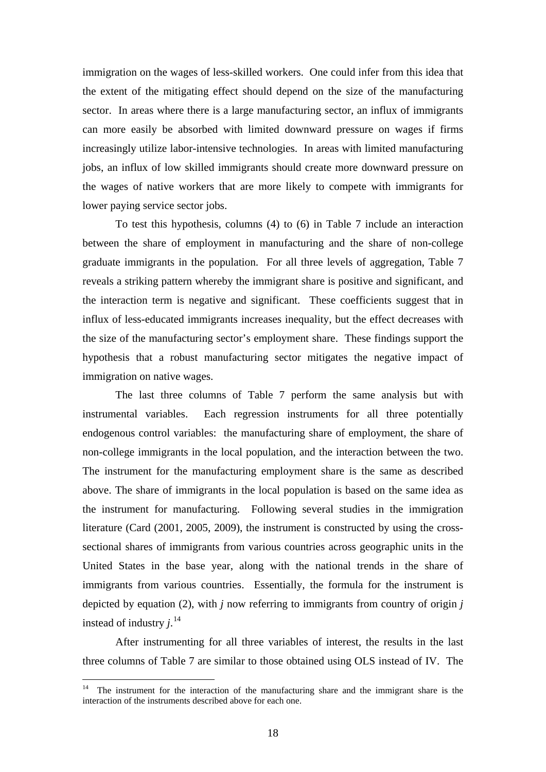immigration on the wages of less-skilled workers. One could infer from this idea that the extent of the mitigating effect should depend on the size of the manufacturing sector. In areas where there is a large manufacturing sector, an influx of immigrants can more easily be absorbed with limited downward pressure on wages if firms increasingly utilize labor-intensive technologies. In areas with limited manufacturing jobs, an influx of low skilled immigrants should create more downward pressure on the wages of native workers that are more likely to compete with immigrants for lower paying service sector jobs.

To test this hypothesis, columns (4) to (6) in Table 7 include an interaction between the share of employment in manufacturing and the share of non-college graduate immigrants in the population. For all three levels of aggregation, Table 7 reveals a striking pattern whereby the immigrant share is positive and significant, and the interaction term is negative and significant. These coefficients suggest that in influx of less-educated immigrants increases inequality, but the effect decreases with the size of the manufacturing sector's employment share. These findings support the hypothesis that a robust manufacturing sector mitigates the negative impact of immigration on native wages.

The last three columns of Table 7 perform the same analysis but with instrumental variables. Each regression instruments for all three potentially endogenous control variables: the manufacturing share of employment, the share of non-college immigrants in the local population, and the interaction between the two. The instrument for the manufacturing employment share is the same as described above. The share of immigrants in the local population is based on the same idea as the instrument for manufacturing. Following several studies in the immigration literature (Card (2001, 2005, 2009), the instrument is constructed by using the crosssectional shares of immigrants from various countries across geographic units in the United States in the base year, along with the national trends in the share of immigrants from various countries. Essentially, the formula for the instrument is depicted by equation (2), with *j* now referring to immigrants from country of origin *j* instead of industry *j*. [14](#page-20-0)

After instrumenting for all three variables of interest, the results in the last three columns of Table 7 are similar to those obtained using OLS instead of IV. The

<span id="page-20-0"></span><sup>&</sup>lt;sup>14</sup> The instrument for the interaction of the manufacturing share and the immigrant share is the interaction of the instruments described above for each one.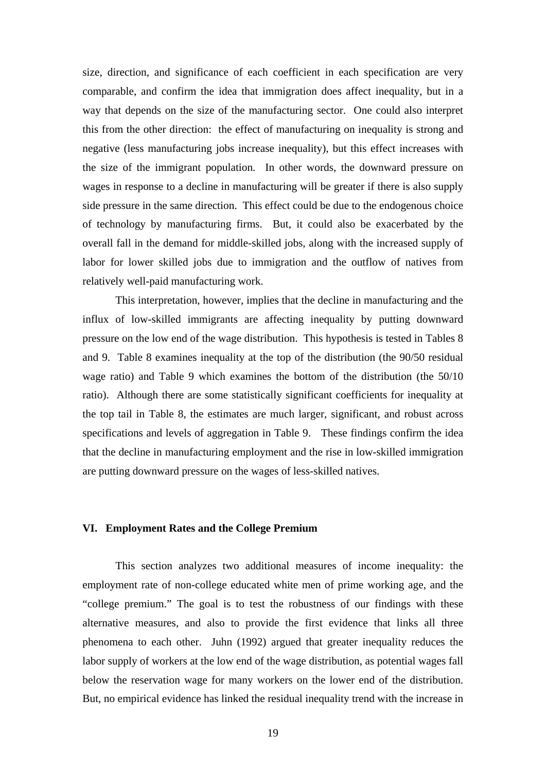size, direction, and significance of each coefficient in each specification are very comparable, and confirm the idea that immigration does affect inequality, but in a way that depends on the size of the manufacturing sector. One could also interpret this from the other direction: the effect of manufacturing on inequality is strong and negative (less manufacturing jobs increase inequality), but this effect increases with the size of the immigrant population. In other words, the downward pressure on wages in response to a decline in manufacturing will be greater if there is also supply side pressure in the same direction. This effect could be due to the endogenous choice of technology by manufacturing firms. But, it could also be exacerbated by the overall fall in the demand for middle-skilled jobs, along with the increased supply of labor for lower skilled jobs due to immigration and the outflow of natives from relatively well-paid manufacturing work.

This interpretation, however, implies that the decline in manufacturing and the influx of low-skilled immigrants are affecting inequality by putting downward pressure on the low end of the wage distribution. This hypothesis is tested in Tables 8 and 9. Table 8 examines inequality at the top of the distribution (the 90/50 residual wage ratio) and Table 9 which examines the bottom of the distribution (the 50/10 ratio). Although there are some statistically significant coefficients for inequality at the top tail in Table 8, the estimates are much larger, significant, and robust across specifications and levels of aggregation in Table 9. These findings confirm the idea that the decline in manufacturing employment and the rise in low-skilled immigration are putting downward pressure on the wages of less-skilled natives.

#### **VI. Employment Rates and the College Premium**

This section analyzes two additional measures of income inequality: the employment rate of non-college educated white men of prime working age, and the "college premium." The goal is to test the robustness of our findings with these alternative measures, and also to provide the first evidence that links all three phenomena to each other. Juhn (1992) argued that greater inequality reduces the labor supply of workers at the low end of the wage distribution, as potential wages fall below the reservation wage for many workers on the lower end of the distribution. But, no empirical evidence has linked the residual inequality trend with the increase in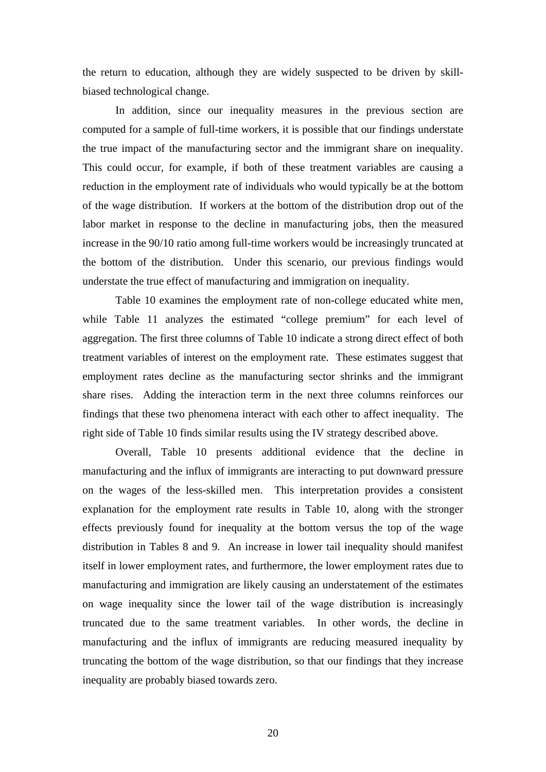the return to education, although they are widely suspected to be driven by skillbiased technological change.

In addition, since our inequality measures in the previous section are computed for a sample of full-time workers, it is possible that our findings understate the true impact of the manufacturing sector and the immigrant share on inequality. This could occur, for example, if both of these treatment variables are causing a reduction in the employment rate of individuals who would typically be at the bottom of the wage distribution. If workers at the bottom of the distribution drop out of the labor market in response to the decline in manufacturing jobs, then the measured increase in the 90/10 ratio among full-time workers would be increasingly truncated at the bottom of the distribution. Under this scenario, our previous findings would understate the true effect of manufacturing and immigration on inequality.

Table 10 examines the employment rate of non-college educated white men, while Table 11 analyzes the estimated "college premium" for each level of aggregation. The first three columns of Table 10 indicate a strong direct effect of both treatment variables of interest on the employment rate. These estimates suggest that employment rates decline as the manufacturing sector shrinks and the immigrant share rises. Adding the interaction term in the next three columns reinforces our findings that these two phenomena interact with each other to affect inequality. The right side of Table 10 finds similar results using the IV strategy described above.

Overall, Table 10 presents additional evidence that the decline in manufacturing and the influx of immigrants are interacting to put downward pressure on the wages of the less-skilled men. This interpretation provides a consistent explanation for the employment rate results in Table 10, along with the stronger effects previously found for inequality at the bottom versus the top of the wage distribution in Tables 8 and 9. An increase in lower tail inequality should manifest itself in lower employment rates, and furthermore, the lower employment rates due to manufacturing and immigration are likely causing an understatement of the estimates on wage inequality since the lower tail of the wage distribution is increasingly truncated due to the same treatment variables. In other words, the decline in manufacturing and the influx of immigrants are reducing measured inequality by truncating the bottom of the wage distribution, so that our findings that they increase inequality are probably biased towards zero.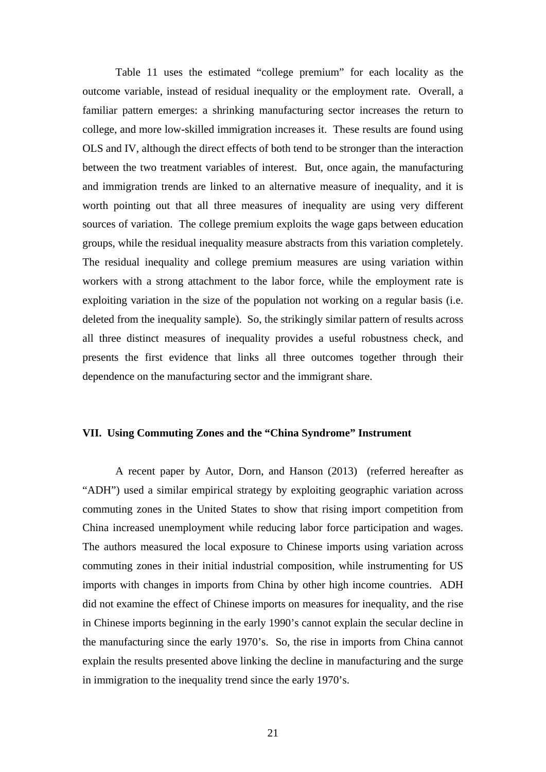Table 11 uses the estimated "college premium" for each locality as the outcome variable, instead of residual inequality or the employment rate. Overall, a familiar pattern emerges: a shrinking manufacturing sector increases the return to college, and more low-skilled immigration increases it. These results are found using OLS and IV, although the direct effects of both tend to be stronger than the interaction between the two treatment variables of interest. But, once again, the manufacturing and immigration trends are linked to an alternative measure of inequality, and it is worth pointing out that all three measures of inequality are using very different sources of variation. The college premium exploits the wage gaps between education groups, while the residual inequality measure abstracts from this variation completely. The residual inequality and college premium measures are using variation within workers with a strong attachment to the labor force, while the employment rate is exploiting variation in the size of the population not working on a regular basis (i.e. deleted from the inequality sample). So, the strikingly similar pattern of results across all three distinct measures of inequality provides a useful robustness check, and presents the first evidence that links all three outcomes together through their dependence on the manufacturing sector and the immigrant share.

#### **VII. Using Commuting Zones and the "China Syndrome" Instrument**

A recent paper by Autor, Dorn, and Hanson (2013) (referred hereafter as "ADH") used a similar empirical strategy by exploiting geographic variation across commuting zones in the United States to show that rising import competition from China increased unemployment while reducing labor force participation and wages. The authors measured the local exposure to Chinese imports using variation across commuting zones in their initial industrial composition, while instrumenting for US imports with changes in imports from China by other high income countries. ADH did not examine the effect of Chinese imports on measures for inequality, and the rise in Chinese imports beginning in the early 1990's cannot explain the secular decline in the manufacturing since the early 1970's. So, the rise in imports from China cannot explain the results presented above linking the decline in manufacturing and the surge in immigration to the inequality trend since the early 1970's.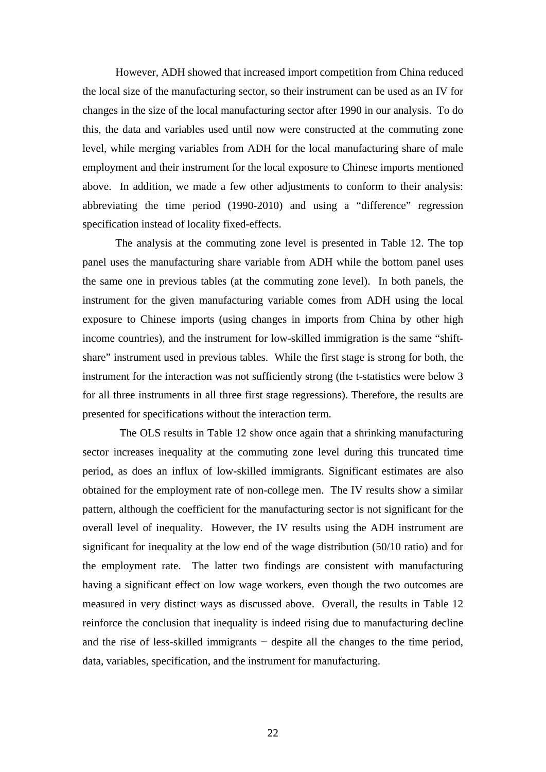However, ADH showed that increased import competition from China reduced the local size of the manufacturing sector, so their instrument can be used as an IV for changes in the size of the local manufacturing sector after 1990 in our analysis. To do this, the data and variables used until now were constructed at the commuting zone level, while merging variables from ADH for the local manufacturing share of male employment and their instrument for the local exposure to Chinese imports mentioned above. In addition, we made a few other adjustments to conform to their analysis: abbreviating the time period (1990-2010) and using a "difference" regression specification instead of locality fixed-effects.

The analysis at the commuting zone level is presented in Table 12. The top panel uses the manufacturing share variable from ADH while the bottom panel uses the same one in previous tables (at the commuting zone level). In both panels, the instrument for the given manufacturing variable comes from ADH using the local exposure to Chinese imports (using changes in imports from China by other high income countries), and the instrument for low-skilled immigration is the same "shiftshare" instrument used in previous tables. While the first stage is strong for both, the instrument for the interaction was not sufficiently strong (the t-statistics were below 3 for all three instruments in all three first stage regressions). Therefore, the results are presented for specifications without the interaction term.

The OLS results in Table 12 show once again that a shrinking manufacturing sector increases inequality at the commuting zone level during this truncated time period, as does an influx of low-skilled immigrants. Significant estimates are also obtained for the employment rate of non-college men. The IV results show a similar pattern, although the coefficient for the manufacturing sector is not significant for the overall level of inequality. However, the IV results using the ADH instrument are significant for inequality at the low end of the wage distribution (50/10 ratio) and for the employment rate. The latter two findings are consistent with manufacturing having a significant effect on low wage workers, even though the two outcomes are measured in very distinct ways as discussed above. Overall, the results in Table 12 reinforce the conclusion that inequality is indeed rising due to manufacturing decline and the rise of less-skilled immigrants − despite all the changes to the time period, data, variables, specification, and the instrument for manufacturing.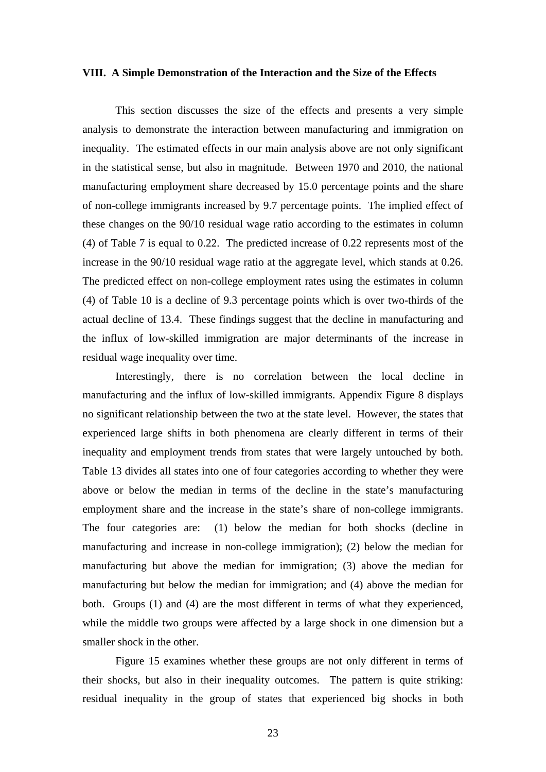#### **VIII. A Simple Demonstration of the Interaction and the Size of the Effects**

This section discusses the size of the effects and presents a very simple analysis to demonstrate the interaction between manufacturing and immigration on inequality. The estimated effects in our main analysis above are not only significant in the statistical sense, but also in magnitude. Between 1970 and 2010, the national manufacturing employment share decreased by 15.0 percentage points and the share of non-college immigrants increased by 9.7 percentage points. The implied effect of these changes on the 90/10 residual wage ratio according to the estimates in column (4) of Table 7 is equal to 0.22. The predicted increase of 0.22 represents most of the increase in the 90/10 residual wage ratio at the aggregate level, which stands at 0.26. The predicted effect on non-college employment rates using the estimates in column (4) of Table 10 is a decline of 9.3 percentage points which is over two-thirds of the actual decline of 13.4. These findings suggest that the decline in manufacturing and the influx of low-skilled immigration are major determinants of the increase in residual wage inequality over time.

Interestingly, there is no correlation between the local decline in manufacturing and the influx of low-skilled immigrants. Appendix Figure 8 displays no significant relationship between the two at the state level. However, the states that experienced large shifts in both phenomena are clearly different in terms of their inequality and employment trends from states that were largely untouched by both. Table 13 divides all states into one of four categories according to whether they were above or below the median in terms of the decline in the state's manufacturing employment share and the increase in the state's share of non-college immigrants. The four categories are: (1) below the median for both shocks (decline in manufacturing and increase in non-college immigration); (2) below the median for manufacturing but above the median for immigration; (3) above the median for manufacturing but below the median for immigration; and (4) above the median for both. Groups (1) and (4) are the most different in terms of what they experienced, while the middle two groups were affected by a large shock in one dimension but a smaller shock in the other.

Figure 15 examines whether these groups are not only different in terms of their shocks, but also in their inequality outcomes. The pattern is quite striking: residual inequality in the group of states that experienced big shocks in both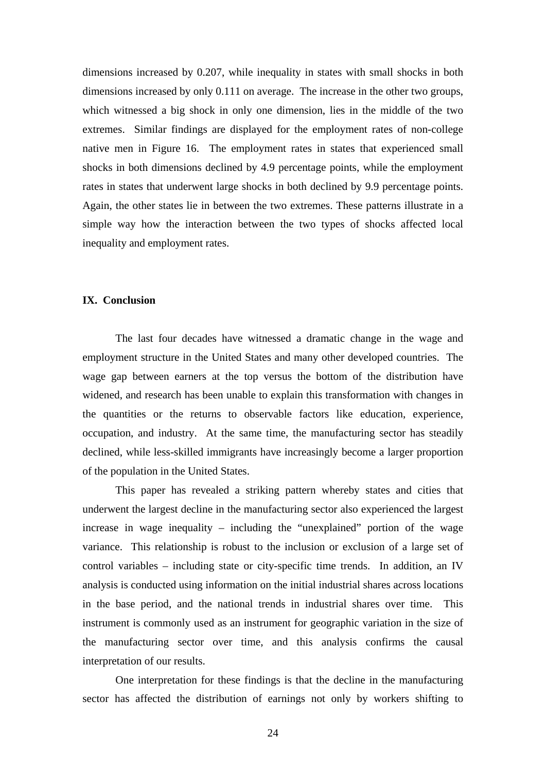dimensions increased by 0.207, while inequality in states with small shocks in both dimensions increased by only 0.111 on average. The increase in the other two groups, which witnessed a big shock in only one dimension, lies in the middle of the two extremes. Similar findings are displayed for the employment rates of non-college native men in Figure 16. The employment rates in states that experienced small shocks in both dimensions declined by 4.9 percentage points, while the employment rates in states that underwent large shocks in both declined by 9.9 percentage points. Again, the other states lie in between the two extremes. These patterns illustrate in a simple way how the interaction between the two types of shocks affected local inequality and employment rates.

#### **IX. Conclusion**

The last four decades have witnessed a dramatic change in the wage and employment structure in the United States and many other developed countries. The wage gap between earners at the top versus the bottom of the distribution have widened, and research has been unable to explain this transformation with changes in the quantities or the returns to observable factors like education, experience, occupation, and industry. At the same time, the manufacturing sector has steadily declined, while less-skilled immigrants have increasingly become a larger proportion of the population in the United States.

This paper has revealed a striking pattern whereby states and cities that underwent the largest decline in the manufacturing sector also experienced the largest increase in wage inequality – including the "unexplained" portion of the wage variance. This relationship is robust to the inclusion or exclusion of a large set of control variables – including state or city-specific time trends. In addition, an IV analysis is conducted using information on the initial industrial shares across locations in the base period, and the national trends in industrial shares over time. This instrument is commonly used as an instrument for geographic variation in the size of the manufacturing sector over time, and this analysis confirms the causal interpretation of our results.

One interpretation for these findings is that the decline in the manufacturing sector has affected the distribution of earnings not only by workers shifting to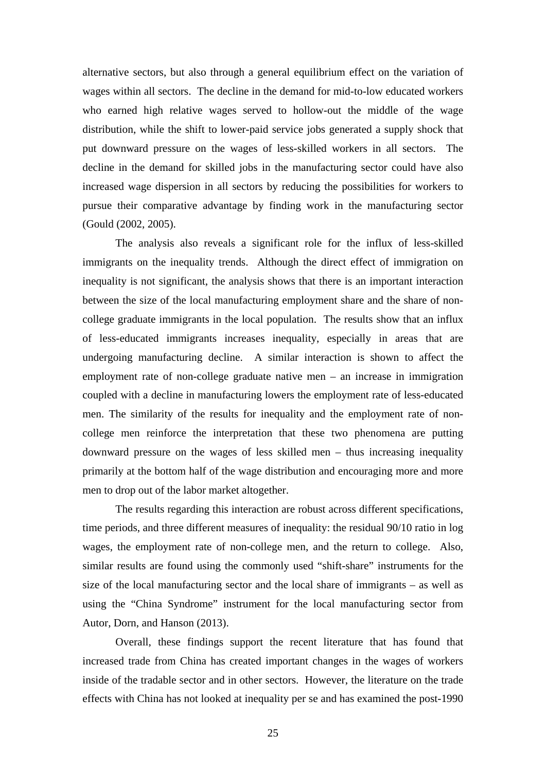alternative sectors, but also through a general equilibrium effect on the variation of wages within all sectors. The decline in the demand for mid-to-low educated workers who earned high relative wages served to hollow-out the middle of the wage distribution, while the shift to lower-paid service jobs generated a supply shock that put downward pressure on the wages of less-skilled workers in all sectors. The decline in the demand for skilled jobs in the manufacturing sector could have also increased wage dispersion in all sectors by reducing the possibilities for workers to pursue their comparative advantage by finding work in the manufacturing sector (Gould (2002, 2005).

The analysis also reveals a significant role for the influx of less-skilled immigrants on the inequality trends. Although the direct effect of immigration on inequality is not significant, the analysis shows that there is an important interaction between the size of the local manufacturing employment share and the share of noncollege graduate immigrants in the local population. The results show that an influx of less-educated immigrants increases inequality, especially in areas that are undergoing manufacturing decline. A similar interaction is shown to affect the employment rate of non-college graduate native men – an increase in immigration coupled with a decline in manufacturing lowers the employment rate of less-educated men. The similarity of the results for inequality and the employment rate of noncollege men reinforce the interpretation that these two phenomena are putting downward pressure on the wages of less skilled men – thus increasing inequality primarily at the bottom half of the wage distribution and encouraging more and more men to drop out of the labor market altogether.

The results regarding this interaction are robust across different specifications, time periods, and three different measures of inequality: the residual 90/10 ratio in log wages, the employment rate of non-college men, and the return to college. Also, similar results are found using the commonly used "shift-share" instruments for the size of the local manufacturing sector and the local share of immigrants – as well as using the "China Syndrome" instrument for the local manufacturing sector from Autor, Dorn, and Hanson (2013).

Overall, these findings support the recent literature that has found that increased trade from China has created important changes in the wages of workers inside of the tradable sector and in other sectors. However, the literature on the trade effects with China has not looked at inequality per se and has examined the post-1990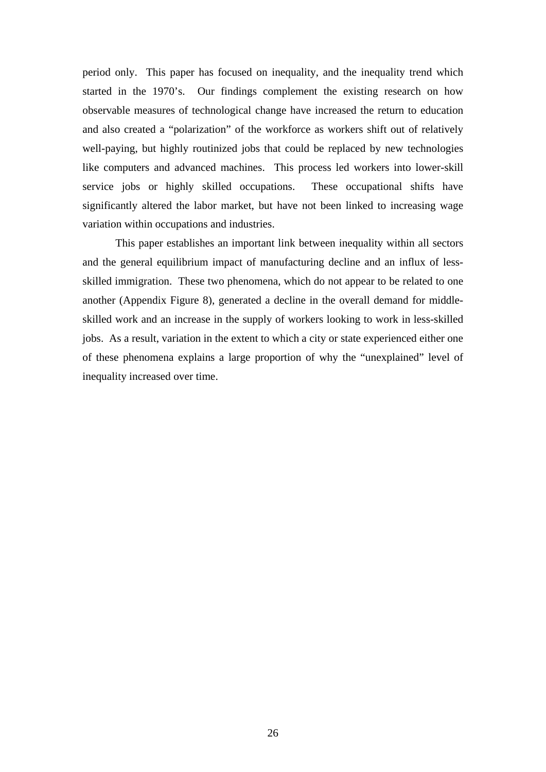period only. This paper has focused on inequality, and the inequality trend which started in the 1970's. Our findings complement the existing research on how observable measures of technological change have increased the return to education and also created a "polarization" of the workforce as workers shift out of relatively well-paying, but highly routinized jobs that could be replaced by new technologies like computers and advanced machines. This process led workers into lower-skill service jobs or highly skilled occupations. These occupational shifts have significantly altered the labor market, but have not been linked to increasing wage variation within occupations and industries.

This paper establishes an important link between inequality within all sectors and the general equilibrium impact of manufacturing decline and an influx of lessskilled immigration. These two phenomena, which do not appear to be related to one another (Appendix Figure 8), generated a decline in the overall demand for middleskilled work and an increase in the supply of workers looking to work in less-skilled jobs. As a result, variation in the extent to which a city or state experienced either one of these phenomena explains a large proportion of why the "unexplained" level of inequality increased over time.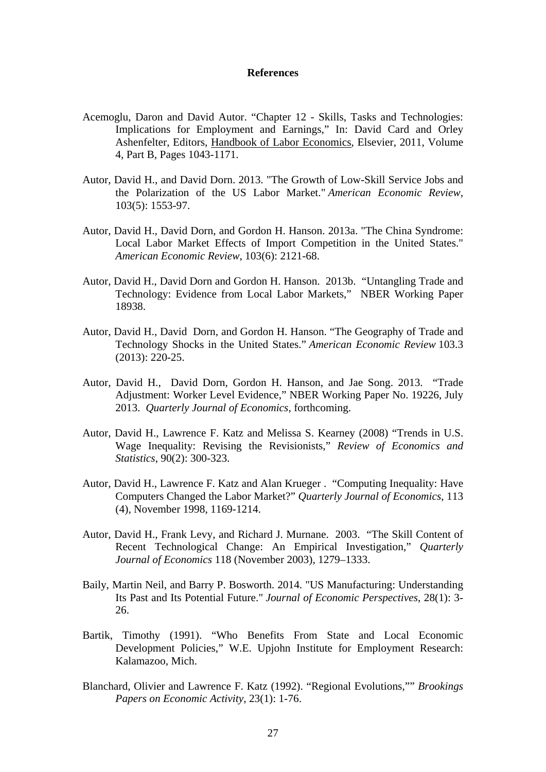#### **References**

- Acemoglu, Daron and David Autor. "Chapter 12 Skills, Tasks and Technologies: Implications for Employment and Earnings," In: David Card and Orley Ashenfelter, Editors, Handbook of Labor Economics, Elsevier, 2011, Volume 4, Part B, Pages 1043-1171.
- Autor, David H., and David Dorn. 2013. "The Growth of Low-Skill Service Jobs and the Polarization of the US Labor Market." *American Economic Review*, 103(5): 1553-97.
- Autor, David H., David Dorn, and Gordon H. Hanson. 2013a. "The China Syndrome: Local Labor Market Effects of Import Competition in the United States." *American Economic Review*, 103(6): 2121-68.
- Autor, David H., David Dorn and Gordon H. Hanson. 2013b. "Untangling Trade and Technology: Evidence from Local Labor Markets," NBER Working Paper 18938.
- Autor, David H., David Dorn, and Gordon H. Hanson. "The Geography of Trade and Technology Shocks in the United States." *American Economic Review* 103.3 (2013): 220-25.
- Autor, David H., David Dorn, Gordon H. Hanson, and Jae Song. 2013. "Trade Adjustment: Worker Level Evidence," NBER Working Paper No. 19226, July 2013. *Quarterly Journal of Economics*, forthcoming.
- Autor, David H., Lawrence F. Katz and Melissa S. Kearney (2008) "Trends in U.S. Wage Inequality: Revising the Revisionists," *Review of Economics and Statistics*, 90(2): 300-323.
- Autor, David H., Lawrence F. Katz and Alan Krueger . "Computing Inequality: Have Computers Changed the Labor Market?" *Quarterly Journal of Economics*, 113 (4), November 1998, 1169-1214.
- Autor, David H., Frank Levy, and Richard J. Murnane. 2003. "The Skill Content of Recent Technological Change: An Empirical Investigation," *Quarterly Journal of Economics* 118 (November 2003), 1279–1333.
- Baily, Martin Neil, and Barry P. Bosworth. 2014. "US Manufacturing: Understanding Its Past and Its Potential Future." *Journal of Economic Perspectives*, 28(1): 3- 26.
- Bartik, Timothy (1991). "Who Benefits From State and Local Economic Development Policies," W.E. Upjohn Institute for Employment Research: Kalamazoo, Mich.
- Blanchard, Olivier and Lawrence F. Katz (1992). "Regional Evolutions,"" *Brookings Papers on Economic Activity*, 23(1): 1-76.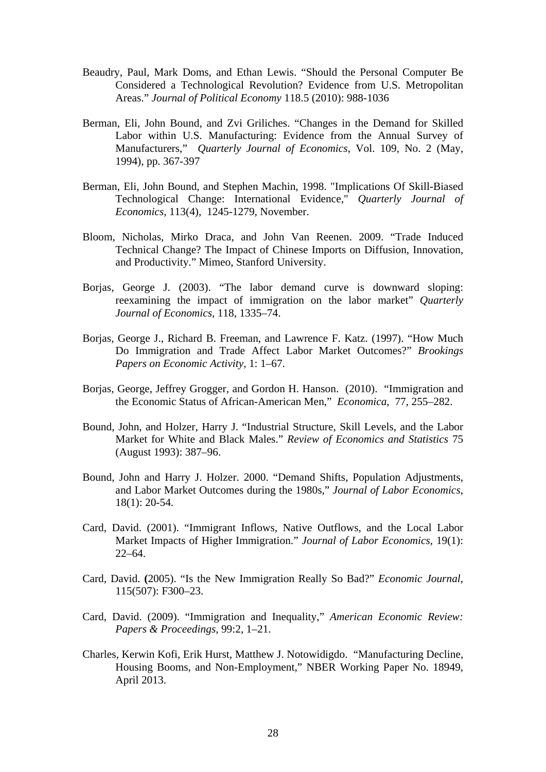- Beaudry, Paul, Mark Doms, and Ethan Lewis. "Should the Personal Computer Be Considered a Technological Revolution? Evidence from U.S. Metropolitan Areas." *Journal of Political Economy* 118.5 (2010): 988-1036
- Berman, Eli, John Bound, and Zvi Griliches. "Changes in the Demand for Skilled Labor within U.S. Manufacturing: Evidence from the Annual Survey of Manufacturers," *Quarterly Journal of Economics*, Vol. 109, No. 2 (May, 1994), pp. 367-397
- Berman, Eli, John Bound, and Stephen Machin, 1998. "Implications Of Skill-Biased Technological Change: International Evidence," *Quarterly Journal of Economics*, 113(4), 1245-1279, November.
- Bloom, Nicholas, Mirko Draca, and John Van Reenen. 2009. "Trade Induced Technical Change? The Impact of Chinese Imports on Diffusion, Innovation, and Productivity." Mimeo, Stanford University.
- Borjas, George J. (2003). "The labor demand curve is downward sloping: reexamining the impact of immigration on the labor market" *Quarterly Journal of Economics*, 118, 1335–74.
- Borjas, George J., Richard B. Freeman, and Lawrence F. Katz. (1997). "How Much Do Immigration and Trade Affect Labor Market Outcomes?" *Brookings Papers on Economic Activity*, 1: 1–67.
- Borjas, George, Jeffrey Grogger, and Gordon H. Hanson. (2010). "Immigration and the Economic Status of African-American Men," *Economica*, 77, 255–282.
- Bound, John, and Holzer, Harry J. "Industrial Structure, Skill Levels, and the Labor Market for White and Black Males." *Review of Economics and Statistics* 75 (August 1993): 387–96.
- Bound, John and Harry J. Holzer. 2000. "Demand Shifts, Population Adjustments, and Labor Market Outcomes during the 1980s," *Journal of Labor Economics*, 18(1): 20-54.
- Card, David. (2001). "Immigrant Inflows, Native Outflows, and the Local Labor Market Impacts of Higher Immigration." *Journal of Labor Economics*, 19(1): 22–64.
- Card, David. **(**2005). "Is the New Immigration Really So Bad?" *Economic Journal*, 115(507): F300–23.
- Card, David. (2009). "Immigration and Inequality," *American Economic Review: Papers & Proceedings,* 99:2, 1–21.
- Charles, Kerwin Kofi, Erik Hurst, Matthew J. Notowidigdo. "Manufacturing Decline, Housing Booms, and Non-Employment," NBER Working Paper No. 18949, April 2013.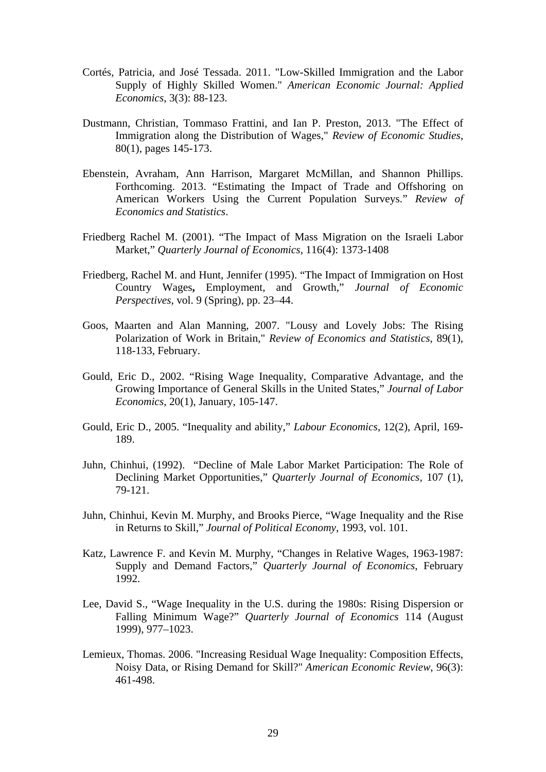- Cortés, Patricia, and José Tessada. 2011. "Low-Skilled Immigration and the Labor Supply of Highly Skilled Women." *American Economic Journal: Applied Economics*, 3(3): 88-123.
- Dustmann, Christian, Tommaso Frattini, and Ian P. Preston, 2013. "The Effect of Immigration along the Distribution of Wages," *Review of Economic Studies*, 80(1), pages 145-173.
- Ebenstein, Avraham, Ann Harrison, Margaret McMillan, and Shannon Phillips. Forthcoming. 2013. "Estimating the Impact of Trade and Offshoring on American Workers Using the Current Population Surveys." *Review of Economics and Statistics*.
- Friedberg Rachel M. (2001). "The Impact of Mass Migration on the Israeli Labor Market," *Quarterly Journal of Economics*, 116(4): 1373-1408
- Friedberg, Rachel M. and Hunt, Jennifer (1995). "The Impact of Immigration on Host Country Wages**,** Employment, and Growth," *Journal of Economic Perspectives*, vol. 9 (Spring), pp. 23–44.
- Goos, Maarten and Alan Manning, 2007. "Lousy and Lovely Jobs: The Rising Polarization of Work in Britain," *Review of Economics and Statistics*, 89(1), 118-133, February.
- Gould, Eric D., 2002. "Rising Wage Inequality, Comparative Advantage, and the Growing Importance of General Skills in the United States," *Journal of Labor Economics*, 20(1), January, 105-147.
- Gould, Eric D., 2005. "Inequality and ability," *Labour Economics*, 12(2), April, 169- 189.
- Juhn, Chinhui, (1992). "Decline of Male Labor Market Participation: The Role of Declining Market Opportunities," *Quarterly Journal of Economics,* 107 (1), 79-121.
- Juhn, Chinhui, Kevin M. Murphy, and Brooks Pierce, "Wage Inequality and the Rise in Returns to Skill," *Journal of Political Economy*, 1993, vol. 101.
- Katz, Lawrence F. and Kevin M. Murphy, "Changes in Relative Wages, 1963-1987: Supply and Demand Factors," *Quarterly Journal of Economics*, February 1992.
- Lee, David S., "Wage Inequality in the U.S. during the 1980s: Rising Dispersion or Falling Minimum Wage?" *Quarterly Journal of Economics* 114 (August 1999), 977–1023.
- Lemieux, Thomas. 2006. "Increasing Residual Wage Inequality: Composition Effects, Noisy Data, or Rising Demand for Skill?" *American Economic Review*, 96(3): 461-498.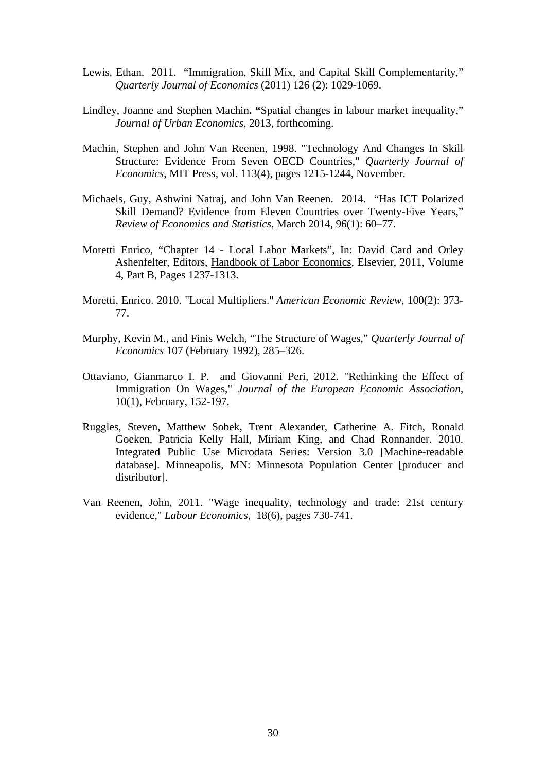- Lewis, Ethan. 2011. "Immigration, Skill Mix, and Capital Skill Complementarity," *Quarterly Journal of Economics* (2011) 126 (2): 1029-1069.
- Lindley, Joanne and Stephen Machin**. "**Spatial changes in labour market inequality," *Journal of Urban Economics*, 2013, forthcoming.
- Machin, Stephen and John Van Reenen, 1998. "Technology And Changes In Skill Structure: Evidence From Seven OECD Countries," *Quarterly Journal of Economics*, MIT Press, vol. 113(4), pages 1215-1244, November.
- Michaels, Guy, Ashwini Natraj, and John Van Reenen. 2014. "Has ICT Polarized Skill Demand? Evidence from Eleven Countries over Twenty-Five Years," *Review of Economics and Statistics*, March 2014, 96(1): 60–77.
- Moretti Enrico, "Chapter 14 Local Labor Markets", In: David Card and Orley Ashenfelter, Editors, Handbook of Labor Economics, Elsevier, 2011, Volume 4, Part B, Pages 1237-1313.
- Moretti, Enrico. 2010. "Local Multipliers." *American Economic Review*, 100(2): 373- 77.
- Murphy, Kevin M., and Finis Welch, "The Structure of Wages," *Quarterly Journal of Economics* 107 (February 1992), 285–326.
- Ottaviano, Gianmarco I. P. and Giovanni Peri, 2012. "Rethinking the Effect of Immigration On Wages," *Journal of the European Economic Association*, 10(1), February, 152-197.
- Ruggles, Steven, Matthew Sobek, Trent Alexander, Catherine A. Fitch, Ronald Goeken, Patricia Kelly Hall, Miriam King, and Chad Ronnander. 2010. Integrated Public Use Microdata Series: Version 3.0 [Machine-readable database]. Minneapolis, MN: Minnesota Population Center [producer and distributor].
- Van Reenen, John, 2011. "Wage inequality, technology and trade: 21st century evidence," *Labour Economics*, 18(6), pages 730-741.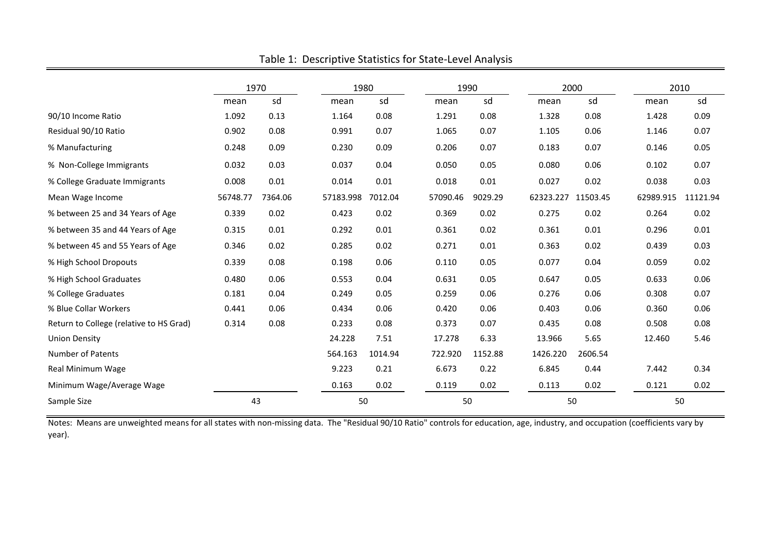|                                         | 1970     |         | 1980      |         |          | 1990    |           | 2000     | 2010      |          |
|-----------------------------------------|----------|---------|-----------|---------|----------|---------|-----------|----------|-----------|----------|
|                                         | mean     | sd      | mean      | sd      | mean     | sd      | mean      | sd       | mean      | sd       |
| 90/10 Income Ratio                      | 1.092    | 0.13    | 1.164     | 0.08    | 1.291    | 0.08    | 1.328     | 0.08     | 1.428     | 0.09     |
| Residual 90/10 Ratio                    | 0.902    | 0.08    | 0.991     | 0.07    | 1.065    | 0.07    | 1.105     | 0.06     | 1.146     | 0.07     |
| % Manufacturing                         | 0.248    | 0.09    | 0.230     | 0.09    | 0.206    | 0.07    | 0.183     | 0.07     | 0.146     | 0.05     |
| % Non-College Immigrants                | 0.032    | 0.03    | 0.037     | 0.04    | 0.050    | 0.05    | 0.080     | 0.06     | 0.102     | 0.07     |
| % College Graduate Immigrants           | 0.008    | 0.01    | 0.014     | 0.01    | 0.018    | 0.01    | 0.027     | 0.02     | 0.038     | 0.03     |
| Mean Wage Income                        | 56748.77 | 7364.06 | 57183.998 | 7012.04 | 57090.46 | 9029.29 | 62323.227 | 11503.45 | 62989.915 | 11121.94 |
| % between 25 and 34 Years of Age        | 0.339    | 0.02    | 0.423     | 0.02    | 0.369    | 0.02    | 0.275     | 0.02     | 0.264     | 0.02     |
| % between 35 and 44 Years of Age        | 0.315    | 0.01    | 0.292     | 0.01    | 0.361    | 0.02    | 0.361     | 0.01     | 0.296     | 0.01     |
| % between 45 and 55 Years of Age        | 0.346    | 0.02    | 0.285     | 0.02    | 0.271    | 0.01    | 0.363     | 0.02     | 0.439     | 0.03     |
| % High School Dropouts                  | 0.339    | 0.08    | 0.198     | 0.06    | 0.110    | 0.05    | 0.077     | 0.04     | 0.059     | 0.02     |
| % High School Graduates                 | 0.480    | 0.06    | 0.553     | 0.04    | 0.631    | 0.05    | 0.647     | 0.05     | 0.633     | 0.06     |
| % College Graduates                     | 0.181    | 0.04    | 0.249     | 0.05    | 0.259    | 0.06    | 0.276     | 0.06     | 0.308     | 0.07     |
| % Blue Collar Workers                   | 0.441    | 0.06    | 0.434     | 0.06    | 0.420    | 0.06    | 0.403     | 0.06     | 0.360     | 0.06     |
| Return to College (relative to HS Grad) | 0.314    | 0.08    | 0.233     | 0.08    | 0.373    | 0.07    | 0.435     | 0.08     | 0.508     | 0.08     |
| <b>Union Density</b>                    |          |         | 24.228    | 7.51    | 17.278   | 6.33    | 13.966    | 5.65     | 12.460    | 5.46     |
| <b>Number of Patents</b>                |          |         | 564.163   | 1014.94 | 722.920  | 1152.88 | 1426.220  | 2606.54  |           |          |
| Real Minimum Wage                       |          |         | 9.223     | 0.21    | 6.673    | 0.22    | 6.845     | 0.44     | 7.442     | 0.34     |
| Minimum Wage/Average Wage               |          |         | 0.163     | 0.02    | 0.119    | 0.02    | 0.113     | 0.02     | 0.121     | 0.02     |
| Sample Size                             | 43       |         | 50        |         | 50       |         |           | 50       | 50        |          |

Table 1: Descriptive Statistics for State-Level Analysis

Notes: Means are unweighted means for all states with non-missing data. The "Residual 90/10 Ratio" controls for education, age, industry, and occupation (coefficients vary by year).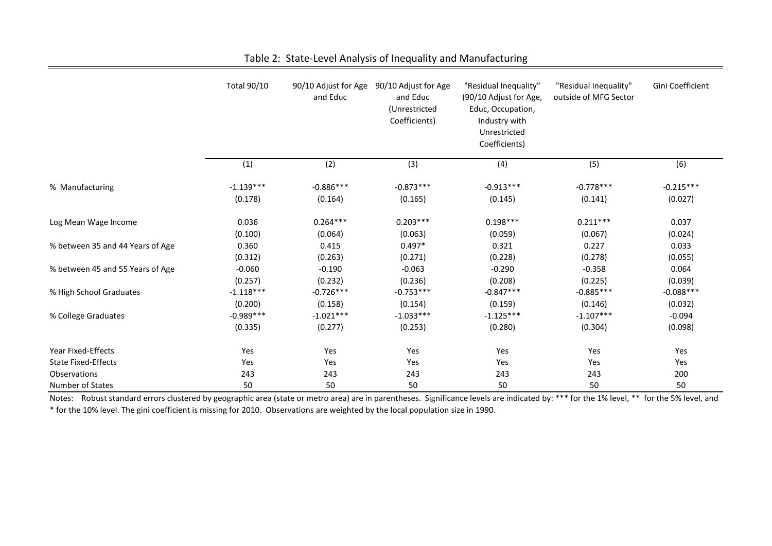|                                  | <b>Total 90/10</b> | 90/10 Adjust for Age<br>and Educ | 90/10 Adjust for Age<br>and Educ<br>(Unrestricted<br>Coefficients) | "Residual Inequality"<br>(90/10 Adjust for Age,<br>Educ, Occupation,<br>Industry with<br>Unrestricted<br>Coefficients) | "Residual Inequality"<br>outside of MFG Sector | Gini Coefficient |
|----------------------------------|--------------------|----------------------------------|--------------------------------------------------------------------|------------------------------------------------------------------------------------------------------------------------|------------------------------------------------|------------------|
|                                  | (1)                | (2)                              | (3)                                                                | (4)                                                                                                                    | (5)                                            | (6)              |
| % Manufacturing                  | $-1.139***$        | $-0.886***$                      | $-0.873***$                                                        | $-0.913***$                                                                                                            | $-0.778***$                                    | $-0.215***$      |
|                                  | (0.178)            | (0.164)                          | (0.165)                                                            | (0.145)                                                                                                                | (0.141)                                        | (0.027)          |
| Log Mean Wage Income             | 0.036              | $0.264***$                       | $0.203***$                                                         | $0.198***$                                                                                                             | $0.211***$                                     | 0.037            |
|                                  | (0.100)            | (0.064)                          | (0.063)                                                            | (0.059)                                                                                                                | (0.067)                                        | (0.024)          |
| % between 35 and 44 Years of Age | 0.360              | 0.415                            | $0.497*$                                                           | 0.321                                                                                                                  | 0.227                                          | 0.033            |
|                                  | (0.312)            | (0.263)                          | (0.271)                                                            | (0.228)                                                                                                                | (0.278)                                        | (0.055)          |
| % between 45 and 55 Years of Age | $-0.060$           | $-0.190$                         | $-0.063$                                                           | $-0.290$                                                                                                               | $-0.358$                                       | 0.064            |
|                                  | (0.257)            | (0.232)                          | (0.236)                                                            | (0.208)                                                                                                                | (0.225)                                        | (0.039)          |
| % High School Graduates          | $-1.118***$        | $-0.726***$                      | $-0.753***$                                                        | $-0.847***$                                                                                                            | $-0.885***$                                    | $-0.088***$      |
|                                  | (0.200)            | (0.158)                          | (0.154)                                                            | (0.159)                                                                                                                | (0.146)                                        | (0.032)          |
| % College Graduates              | $-0.989***$        | $-1.021***$                      | $-1.033***$                                                        | $-1.125***$                                                                                                            | $-1.107***$                                    | $-0.094$         |
|                                  | (0.335)            | (0.277)                          | (0.253)                                                            | (0.280)                                                                                                                | (0.304)                                        | (0.098)          |
| Year Fixed-Effects               | Yes                | Yes                              | Yes                                                                | Yes                                                                                                                    | Yes                                            | Yes              |
| <b>State Fixed-Effects</b>       | Yes                | Yes                              | Yes                                                                | Yes                                                                                                                    | Yes                                            | Yes              |
| Observations                     | 243                | 243                              | 243                                                                | 243                                                                                                                    | 243                                            | 200              |
| Number of States                 | 50                 | 50                               | 50                                                                 | 50                                                                                                                     | 50                                             | 50               |

Table 2: State-Level Analysis of Inequality and Manufacturing

Notes: Robust standard errors clustered by geographic area (state or metro area) are in parentheses. Significance levels are indicated by: \*\*\* for the 1% level, \*\* for the 5% level, and \* for the 10% level. The gini coefficient is missing for 2010. Observations are weighted by the local population size in 1990.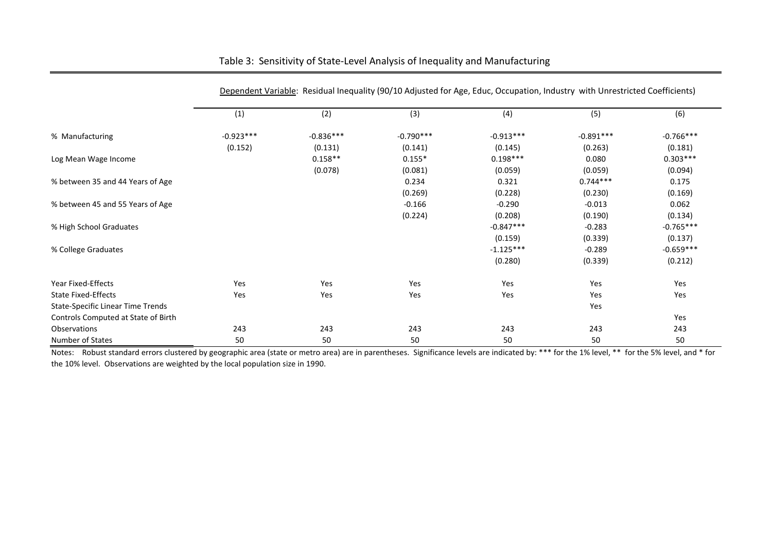|                                     |             |             |             | Dependent Variable: Residual Inequality (90/10 Adjusted for Age, Educ, Occupation, Industry with Unrestricted Coefficients) |             |             |
|-------------------------------------|-------------|-------------|-------------|-----------------------------------------------------------------------------------------------------------------------------|-------------|-------------|
|                                     | (1)         | (2)         | (3)         | (4)                                                                                                                         | (5)         | (6)         |
| % Manufacturing                     | $-0.923***$ | $-0.836***$ | $-0.790***$ | $-0.913***$                                                                                                                 | $-0.891***$ | $-0.766***$ |
|                                     | (0.152)     | (0.131)     | (0.141)     | (0.145)                                                                                                                     | (0.263)     | (0.181)     |
| Log Mean Wage Income                |             | $0.158**$   | $0.155*$    | $0.198***$                                                                                                                  | 0.080       | $0.303***$  |
|                                     |             | (0.078)     | (0.081)     | (0.059)                                                                                                                     | (0.059)     | (0.094)     |
| % between 35 and 44 Years of Age    |             |             | 0.234       | 0.321                                                                                                                       | $0.744***$  | 0.175       |
|                                     |             |             | (0.269)     | (0.228)                                                                                                                     | (0.230)     | (0.169)     |
| % between 45 and 55 Years of Age    |             |             | $-0.166$    | $-0.290$                                                                                                                    | $-0.013$    | 0.062       |
|                                     |             |             | (0.224)     | (0.208)                                                                                                                     | (0.190)     | (0.134)     |
| % High School Graduates             |             |             |             | $-0.847***$                                                                                                                 | $-0.283$    | $-0.765***$ |
|                                     |             |             |             | (0.159)                                                                                                                     | (0.339)     | (0.137)     |
| % College Graduates                 |             |             |             | $-1.125***$                                                                                                                 | $-0.289$    | $-0.659***$ |
|                                     |             |             |             | (0.280)                                                                                                                     | (0.339)     | (0.212)     |
| Year Fixed-Effects                  | Yes         | Yes         | Yes         | Yes                                                                                                                         | Yes         | Yes         |
| <b>State Fixed-Effects</b>          | Yes         | Yes         | Yes         | Yes                                                                                                                         | Yes         | Yes         |
| State-Specific Linear Time Trends   |             |             |             |                                                                                                                             | Yes         |             |
| Controls Computed at State of Birth |             |             |             |                                                                                                                             |             | Yes         |
| Observations                        | 243         | 243         | 243         | 243                                                                                                                         | 243         | 243         |
| Number of States                    | 50          | 50          | 50          | 50                                                                                                                          | 50          | 50          |

#### Table 3: Sensitivity of State-Level Analysis of Inequality and Manufacturing

Notes: Robust standard errors clustered by geographic area (state or metro area) are in parentheses. Significance levels are indicated by: \*\*\* for the 1% level, \*\* for the 5% level, and \* for the 10% level. Observations are weighted by the local population size in 1990.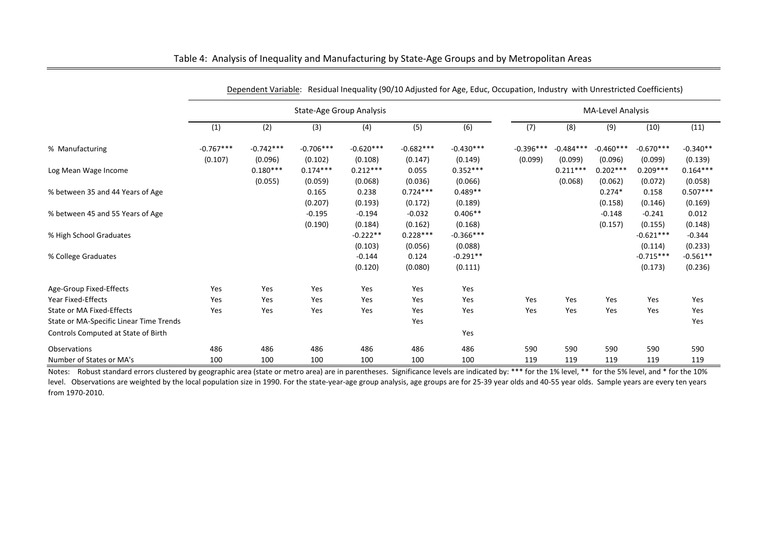|                                         | Residual Inequality (90/10 Adjusted for Age, Educ, Occupation, Industry with Unrestricted Coefficients)<br>Dependent Variable: |             |             |                          |             |             |                          |             |             |             |            |  |
|-----------------------------------------|--------------------------------------------------------------------------------------------------------------------------------|-------------|-------------|--------------------------|-------------|-------------|--------------------------|-------------|-------------|-------------|------------|--|
|                                         |                                                                                                                                |             |             | State-Age Group Analysis |             |             | <b>MA-Level Analysis</b> |             |             |             |            |  |
|                                         | (1)                                                                                                                            | (2)         | (3)         | (4)                      | (5)         | (6)         | (7)                      | (8)         | (9)         | (10)        | (11)       |  |
| % Manufacturing                         | $-0.767***$                                                                                                                    | $-0.742***$ | $-0.706***$ | $-0.620***$              | $-0.682***$ | $-0.430***$ | $-0.396***$              | $-0.484***$ | $-0.460***$ | $-0.670***$ | $-0.340**$ |  |
|                                         | (0.107)                                                                                                                        | (0.096)     | (0.102)     | (0.108)                  | (0.147)     | (0.149)     | (0.099)                  | (0.099)     | (0.096)     | (0.099)     | (0.139)    |  |
| Log Mean Wage Income                    |                                                                                                                                | $0.180***$  | $0.174***$  | $0.212***$               | 0.055       | $0.352***$  |                          | $0.211***$  | $0.202***$  | $0.209***$  | $0.164***$ |  |
|                                         |                                                                                                                                | (0.055)     | (0.059)     | (0.068)                  | (0.036)     | (0.066)     |                          | (0.068)     | (0.062)     | (0.072)     | (0.058)    |  |
| % between 35 and 44 Years of Age        |                                                                                                                                |             | 0.165       | 0.238                    | $0.724***$  | $0.489**$   |                          |             | $0.274*$    | 0.158       | $0.507***$ |  |
|                                         |                                                                                                                                |             | (0.207)     | (0.193)                  | (0.172)     | (0.189)     |                          |             | (0.158)     | (0.146)     | (0.169)    |  |
| % between 45 and 55 Years of Age        |                                                                                                                                |             | $-0.195$    | $-0.194$                 | $-0.032$    | $0.406**$   |                          |             | $-0.148$    | $-0.241$    | 0.012      |  |
|                                         |                                                                                                                                |             | (0.190)     | (0.184)                  | (0.162)     | (0.168)     |                          |             | (0.157)     | (0.155)     | (0.148)    |  |
| % High School Graduates                 |                                                                                                                                |             |             | $-0.222**$               | $0.228***$  | $-0.366***$ |                          |             |             | $-0.621***$ | $-0.344$   |  |
|                                         |                                                                                                                                |             |             | (0.103)                  | (0.056)     | (0.088)     |                          |             |             | (0.114)     | (0.233)    |  |
| % College Graduates                     |                                                                                                                                |             |             | $-0.144$                 | 0.124       | $-0.291**$  |                          |             |             | $-0.715***$ | $-0.561**$ |  |
|                                         |                                                                                                                                |             |             | (0.120)                  | (0.080)     | (0.111)     |                          |             |             | (0.173)     | (0.236)    |  |
| Age-Group Fixed-Effects                 | Yes                                                                                                                            | Yes         | Yes         | Yes                      | Yes         | Yes         |                          |             |             |             |            |  |
| Year Fixed-Effects                      | Yes                                                                                                                            | Yes         | Yes         | Yes                      | Yes         | Yes         | Yes                      | Yes         | Yes         | Yes         | Yes        |  |
| State or MA Fixed-Effects               | Yes                                                                                                                            | Yes         | Yes         | Yes                      | Yes         | Yes         | Yes                      | Yes         | Yes         | Yes         | Yes        |  |
| State or MA-Specific Linear Time Trends |                                                                                                                                |             |             |                          | Yes         |             |                          |             |             |             | Yes        |  |
| Controls Computed at State of Birth     |                                                                                                                                |             |             |                          |             | Yes         |                          |             |             |             |            |  |
| Observations                            | 486                                                                                                                            | 486         | 486         | 486                      | 486         | 486         | 590                      | 590         | 590         | 590         | 590        |  |
| Number of States or MA's                | 100                                                                                                                            | 100         | 100         | 100                      | 100         | 100         | 119                      | 119         | 119         | 119         | 119        |  |

#### Table 4: Analysis of Inequality and Manufacturing by State-Age Groups and by Metropolitan Areas

Notes: Robust standard errors clustered by geographic area (state or metro area) are in parentheses. Significance levels are indicated by: \*\*\* for the 1% level, \*\* for the 5% level, and \* for the 10% level. Observations are weighted by the local population size in 1990. For the state-year-age group analysis, age groups are for 25-39 year olds and 40-55 year olds. Sample years are every ten years from 1970-2010.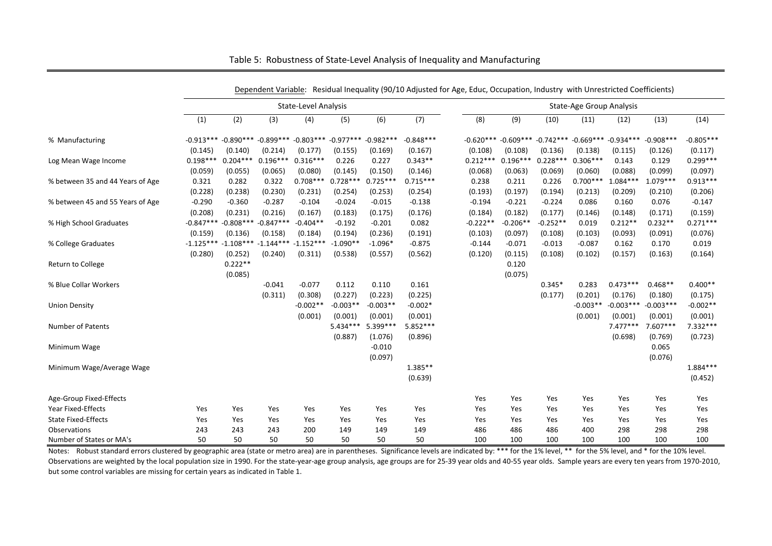|                                  | Dependent Variable: Residual Inequality (90/10 Adjusted for Age, Educ, Occupation, Industry with Unrestricted Coefficients) |                         |             |                      |            |                                                 |                  |            |            |            |                                                             |             |             |             |
|----------------------------------|-----------------------------------------------------------------------------------------------------------------------------|-------------------------|-------------|----------------------|------------|-------------------------------------------------|------------------|------------|------------|------------|-------------------------------------------------------------|-------------|-------------|-------------|
|                                  |                                                                                                                             |                         |             | State-Level Analysis |            |                                                 |                  |            |            |            | State-Age Group Analysis                                    |             |             |             |
|                                  | (1)                                                                                                                         | (2)                     | (3)         | (4)                  | (5)        | (6)                                             | $\overline{(7)}$ | (8)        | (9)        | (10)       | (11)                                                        | (12)        | (13)        | (14)        |
| % Manufacturing                  |                                                                                                                             | $-0.913***$ $-0.890***$ |             |                      |            | $-0.899***$ $-0.803***$ $-0.977***$ $-0.982***$ | $-0.848***$      |            |            |            | $-0.620***$ $-0.609***$ $-0.742***$ $-0.669***$ $-0.934***$ |             | $-0.908***$ | $-0.805***$ |
|                                  | (0.145)                                                                                                                     | (0.140)                 | (0.214)     | (0.177)              | (0.155)    | (0.169)                                         | (0.167)          | (0.108)    | (0.108)    | (0.136)    | (0.138)                                                     | (0.115)     | (0.126)     | (0.117)     |
| Log Mean Wage Income             | $0.198***$                                                                                                                  | $0.204***$              | $0.196***$  | $0.316***$           | 0.226      | 0.227                                           | $0.343**$        | $0.212***$ | $0.196***$ | $0.228***$ | $0.306***$                                                  | 0.143       | 0.129       | $0.299***$  |
|                                  | (0.059)                                                                                                                     | (0.055)                 | (0.065)     | (0.080)              | (0.145)    | (0.150)                                         | (0.146)          | (0.068)    | (0.063)    | (0.069)    | (0.060)                                                     | (0.088)     | (0.099)     | (0.097)     |
| % between 35 and 44 Years of Age | 0.321                                                                                                                       | 0.282                   | 0.322       | $0.708***$           | $0.728***$ | $0.725***$                                      | $0.715***$       | 0.238      | 0.211      | 0.226      | $0.700***$                                                  | $1.084***$  | $1.079***$  | $0.913***$  |
|                                  | (0.228)                                                                                                                     | (0.238)                 | (0.230)     | (0.231)              | (0.254)    | (0.253)                                         | (0.254)          | (0.193)    | (0.197)    | (0.194)    | (0.213)                                                     | (0.209)     | (0.210)     | (0.206)     |
| % between 45 and 55 Years of Age | $-0.290$                                                                                                                    | $-0.360$                | $-0.287$    | $-0.104$             | $-0.024$   | $-0.015$                                        | $-0.138$         | $-0.194$   | $-0.221$   | $-0.224$   | 0.086                                                       | 0.160       | 0.076       | $-0.147$    |
|                                  | (0.208)                                                                                                                     | (0.231)                 | (0.216)     | (0.167)              | (0.183)    | (0.175)                                         | (0.176)          | (0.184)    | (0.182)    | (0.177)    | (0.146)                                                     | (0.148)     | (0.171)     | (0.159)     |
| % High School Graduates          | $-0.847***$                                                                                                                 | $-0.808***$             | $-0.847***$ | $-0.404**$           | $-0.192$   | $-0.201$                                        | 0.082            | $-0.222**$ | $-0.206**$ | $-0.252**$ | 0.019                                                       | $0.212**$   | $0.232**$   | $0.271***$  |
|                                  | (0.159)                                                                                                                     | (0.136)                 | (0.158)     | (0.184)              | (0.194)    | (0.236)                                         | (0.191)          | (0.103)    | (0.097)    | (0.108)    | (0.103)                                                     | (0.093)     | (0.091)     | (0.076)     |
| % College Graduates              | $-1.125***$                                                                                                                 | $-1.108***$             | $-1.144***$ | $-1.152***$          | $-1.090**$ | $-1.096*$                                       | $-0.875$         | $-0.144$   | $-0.071$   | $-0.013$   | $-0.087$                                                    | 0.162       | 0.170       | 0.019       |
|                                  | (0.280)                                                                                                                     | (0.252)                 | (0.240)     | (0.311)              | (0.538)    | (0.557)                                         | (0.562)          | (0.120)    | (0.115)    | (0.108)    | (0.102)                                                     | (0.157)     | (0.163)     | (0.164)     |
| Return to College                |                                                                                                                             | $0.222**$               |             |                      |            |                                                 |                  |            | 0.120      |            |                                                             |             |             |             |
|                                  |                                                                                                                             | (0.085)                 |             |                      |            |                                                 |                  |            | (0.075)    |            |                                                             |             |             |             |
| % Blue Collar Workers            |                                                                                                                             |                         | $-0.041$    | $-0.077$             | 0.112      | 0.110                                           | 0.161            |            |            | $0.345*$   | 0.283                                                       | $0.473***$  | $0.468**$   | $0.400**$   |
|                                  |                                                                                                                             |                         | (0.311)     | (0.308)              | (0.227)    | (0.223)                                         | (0.225)          |            |            | (0.177)    | (0.201)                                                     | (0.176)     | (0.180)     | (0.175)     |
| <b>Union Density</b>             |                                                                                                                             |                         |             | $-0.002**$           | $-0.003**$ | $-0.003**$                                      | $-0.002*$        |            |            |            | $-0.003**$                                                  | $-0.003***$ | $-0.003***$ | $-0.002**$  |
|                                  |                                                                                                                             |                         |             | (0.001)              | (0.001)    | (0.001)                                         | (0.001)          |            |            |            | (0.001)                                                     | (0.001)     | (0.001)     | (0.001)     |
| <b>Number of Patents</b>         |                                                                                                                             |                         |             |                      | 5.434***   | 5.399 ***                                       | 5.852 ***        |            |            |            |                                                             | $7.477***$  | $7.607***$  | 7.332 ***   |
|                                  |                                                                                                                             |                         |             |                      | (0.887)    | (1.076)                                         | (0.896)          |            |            |            |                                                             | (0.698)     | (0.769)     | (0.723)     |
| Minimum Wage                     |                                                                                                                             |                         |             |                      |            | $-0.010$                                        |                  |            |            |            |                                                             |             | 0.065       |             |
|                                  |                                                                                                                             |                         |             |                      |            | (0.097)                                         |                  |            |            |            |                                                             |             | (0.076)     |             |
| Minimum Wage/Average Wage        |                                                                                                                             |                         |             |                      |            |                                                 | $1.385**$        |            |            |            |                                                             |             |             | $1.884***$  |
|                                  |                                                                                                                             |                         |             |                      |            |                                                 | (0.639)          |            |            |            |                                                             |             |             | (0.452)     |
|                                  |                                                                                                                             |                         |             |                      |            |                                                 |                  |            |            |            |                                                             |             |             |             |
| Age-Group Fixed-Effects          |                                                                                                                             |                         |             |                      |            |                                                 |                  | Yes        | Yes        | Yes        | Yes                                                         | Yes         | Yes         | Yes         |
| <b>Year Fixed-Effects</b>        | Yes                                                                                                                         | Yes                     | Yes         | Yes                  | Yes        | Yes                                             | Yes              | Yes        | Yes        | Yes        | Yes                                                         | Yes         | Yes         | Yes         |
| <b>State Fixed-Effects</b>       | Yes                                                                                                                         | Yes                     | Yes         | Yes                  | Yes        | Yes                                             | Yes              | Yes        | Yes        | Yes        | Yes                                                         | Yes         | Yes         | Yes         |
| Observations                     | 243                                                                                                                         | 243                     | 243         | 200                  | 149        | 149                                             | 149              | 486        | 486        | 486        | 400                                                         | 298         | 298         | 298         |
| Number of States or MA's         | 50                                                                                                                          | 50                      | 50          | 50                   | 50         | 50                                              | 50               | 100        | 100        | 100        | 100                                                         | 100         | 100         | 100         |

Table 5: Robustness of State-Level Analysis of Inequality and Manufacturing

Notes: Robust standard errors clustered by geographic area (state or metro area) are in parentheses. Significance levels are indicated by: \*\*\* for the 1% level, \*\* for the 5% level, and \* for the 10% level. Observations are weighted by the local population size in 1990. For the state-year-age group analysis, age groups are for 25-39 year olds and 40-55 year olds. Sample years are every ten years from 1970-2010, but some control variables are missing for certain years as indicated in Table 1.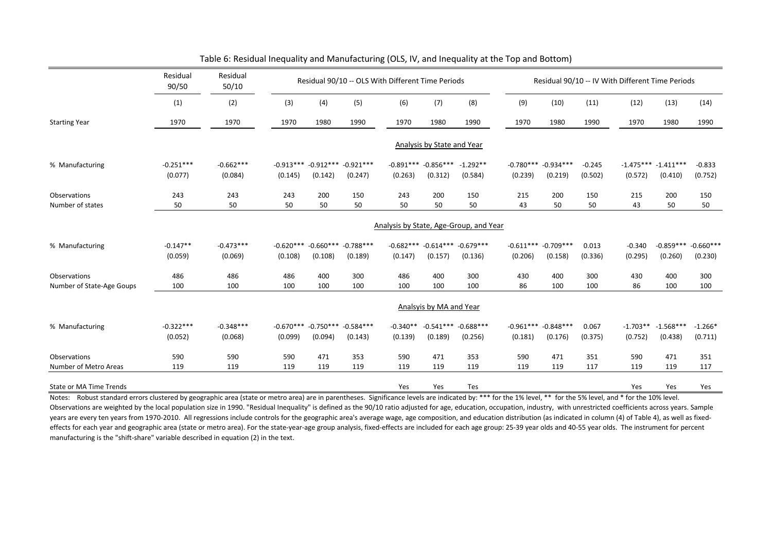|                                           | Residual<br>90/50      | Residual<br>50/10      |                        |                        |                        | Residual 90/10 -- OLS With Different Time Periods |                                    |                        |                        |                                    |                     | Residual 90/10 -- IV With Different Time Periods |                                    |                        |
|-------------------------------------------|------------------------|------------------------|------------------------|------------------------|------------------------|---------------------------------------------------|------------------------------------|------------------------|------------------------|------------------------------------|---------------------|--------------------------------------------------|------------------------------------|------------------------|
|                                           | (1)                    | (2)                    | (3)                    | (4)                    | (5)                    | (6)                                               | (7)                                | (8)                    | (9)                    | (10)                               | (11)                | (12)                                             | (13)                               | (14)                   |
| <b>Starting Year</b>                      | 1970                   | 1970                   | 1970                   | 1980                   | 1990                   | 1970                                              | 1980                               | 1990                   | 1970                   | 1980                               | 1990                | 1970                                             | 1980                               | 1990                   |
|                                           |                        |                        |                        |                        |                        |                                                   | Analysis by State and Year         |                        |                        |                                    |                     |                                                  |                                    |                        |
| % Manufacturing                           | $-0.251***$<br>(0.077) | $-0.662***$<br>(0.084) | $-0.913***$<br>(0.145) | $-0.912***$<br>(0.142) | $-0.921***$<br>(0.247) | (0.263)                                           | $-0.891***$ $-0.856***$<br>(0.312) | $-1.292**$<br>(0.584)  | $-0.780***$<br>(0.239) | $-0.934***$<br>(0.219)             | $-0.245$<br>(0.502) | (0.572)                                          | $-1.475***$ $-1.411***$<br>(0.410) | $-0.833$<br>(0.752)    |
| Observations<br>Number of states          | 243<br>50              | 243<br>50              | 243<br>50              | 200<br>50              | 150<br>50              | 243<br>50                                         | 200<br>50                          | 150<br>50              | 215<br>43              | 200<br>50                          | 150<br>50           | 215<br>43                                        | 200<br>50                          | 150<br>50              |
|                                           |                        |                        |                        |                        |                        | Analysis by State, Age-Group, and Year            |                                    |                        |                        |                                    |                     |                                                  |                                    |                        |
| % Manufacturing                           | $-0.147**$<br>(0.059)  | $-0.473***$<br>(0.069) | $-0.620***$<br>(0.108) | $-0.660***$<br>(0.108) | $-0.788***$<br>(0.189) | $-0.682***$<br>(0.147)                            | $-0.614***$<br>(0.157)             | $-0.679***$<br>(0.136) | $-0.611***$<br>(0.206) | $-0.709***$<br>(0.158)             | 0.013<br>(0.336)    | $-0.340$<br>(0.295)                              | $-0.859***$<br>(0.260)             | $-0.660***$<br>(0.230) |
| Observations<br>Number of State-Age Goups | 486<br>100             | 486<br>100             | 486<br>100             | 400<br>100             | 300<br>100             | 486<br>100                                        | 400<br>100                         | 300<br>100             | 430<br>86              | 400<br>100                         | 300<br>100          | 430<br>86                                        | 400<br>100                         | 300<br>100             |
|                                           |                        |                        |                        |                        |                        |                                                   | Analsyis by MA and Year            |                        |                        |                                    |                     |                                                  |                                    |                        |
| % Manufacturing                           | $-0.322***$<br>(0.052) | $-0.348***$<br>(0.068) | $-0.670***$<br>(0.099) | $-0.750***$<br>(0.094) | $-0.584***$<br>(0.143) | $-0.340**$<br>(0.139)                             | $-0.541***$ $-0.688***$<br>(0.189) | (0.256)                | (0.181)                | $-0.961***$ $-0.848***$<br>(0.176) | 0.067<br>(0.375)    | $-1.703**$<br>(0.752)                            | $-1.568***$<br>(0.438)             | $-1.266*$<br>(0.711)   |
| Observations<br>Number of Metro Areas     | 590<br>119             | 590<br>119             | 590<br>119             | 471<br>119             | 353<br>119             | 590<br>119                                        | 471<br>119                         | 353<br>119             | 590<br>119             | 471<br>119                         | 351<br>117          | 590<br>119                                       | 471<br>119                         | 351<br>117             |
| <b>State or MA Time Trends</b>            |                        |                        |                        |                        |                        | Yes                                               | Yes                                | Tes                    |                        |                                    |                     | Yes                                              | Yes                                | Yes                    |

Table 6: Residual Inequality and Manufacturing (OLS, IV, and Inequality at the Top and Bottom)

Notes: Robust standard errors clustered by geographic area (state or metro area) are in parentheses. Significance levels are indicated by: \*\*\* for the 1% level, \*\* for the 5% level, and \* for the 10% level. Observations are weighted by the local population size in 1990. "Residual Inequality" is defined as the 90/10 ratio adjusted for age, education, occupation, industry, with unrestricted coefficients across years. Sample years are every ten years from 1970-2010. All regressions include controls for the geographic area's average wage, age composition, and education distribution (as indicated in column (4) of Table 4), as well as fixedeffects for each year and geographic area (state or metro area). For the state-year-age group analysis, fixed-effects are included for each age group: 25-39 year olds and 40-55 year olds. The instrument for percent manufacturing is the "shift-share" variable described in equation (2) in the text.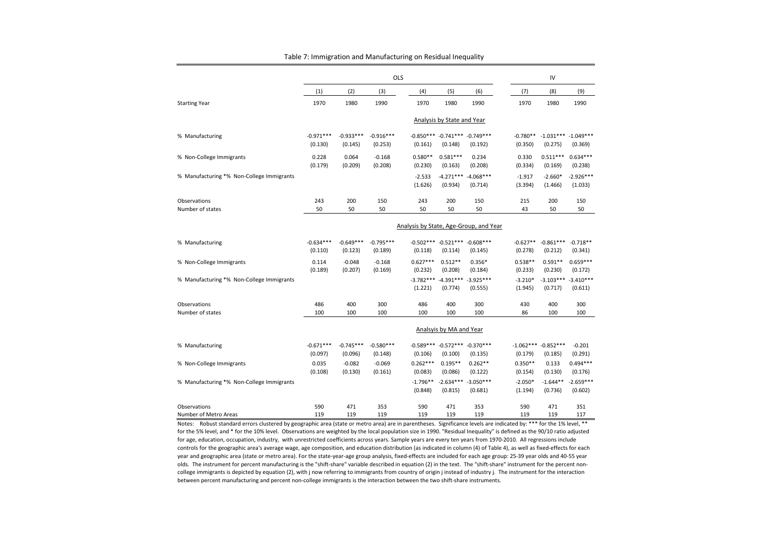|                                           |                        |                        |                        | <b>OLS</b>            |                                                |                                        |                       | IV                                 |                                    |
|-------------------------------------------|------------------------|------------------------|------------------------|-----------------------|------------------------------------------------|----------------------------------------|-----------------------|------------------------------------|------------------------------------|
|                                           | (1)                    | (2)                    | (3)                    | (4)                   | (5)                                            | (6)                                    | (7)                   | (8)                                | (9)                                |
| <b>Starting Year</b>                      | 1970                   | 1980                   | 1990                   | 1970                  | 1980                                           | 1990                                   | 1970                  | 1980                               | 1990                               |
|                                           |                        |                        |                        |                       | Analysis by State and Year                     |                                        |                       |                                    |                                    |
| % Manufacturing                           | $-0.971***$<br>(0.130) | $-0.933***$<br>(0.145) | $-0.916***$<br>(0.253) | (0.161)               | $-0.850***$ $-0.741***$ $-0.749***$<br>(0.148) | (0.192)                                | $-0.780**$<br>(0.350) | $-1.031***$ $-1.049***$<br>(0.275) | (0.369)                            |
| % Non-College Immigrants                  | 0.228<br>(0.179)       | 0.064<br>(0.209)       | $-0.168$<br>(0.208)    | $0.580**$<br>(0.230)  | $0.581***$<br>(0.163)                          | 0.234<br>(0.208)                       | 0.330<br>(0.334)      | $0.511***$<br>(0.169)              | $0.634***$<br>(0.238)              |
| % Manufacturing *% Non-College Immigrants |                        |                        |                        | $-2.533$<br>(1.626)   | (0.934)                                        | $-4.271***$ $-4.068***$<br>(0.714)     | $-1.917$<br>(3.394)   | $-2.660*$<br>(1.466)               | $-2.926***$<br>(1.033)             |
| Observations<br>Number of states          | 243<br>50              | 200<br>50              | 150<br>50              | 243<br>50             | 200<br>50                                      | 150<br>50                              | 215<br>43             | 200<br>50                          | 150<br>50                          |
|                                           |                        |                        |                        |                       |                                                | Analysis by State, Age-Group, and Year |                       |                                    |                                    |
| % Manufacturing                           | $-0.634***$<br>(0.110) | $-0.649***$<br>(0.123) | $-0.795***$<br>(0.189) | (0.118)               | $-0.502***$ $-0.521***$ $-0.608***$<br>(0.114) | (0.145)                                | $-0.627**$<br>(0.278) | $-0.861***$<br>(0.212)             | $-0.718**$<br>(0.341)              |
| % Non-College Immigrants                  | 0.114<br>(0.189)       | $-0.048$<br>(0.207)    | $-0.168$<br>(0.169)    | $0.627***$<br>(0.232) | $0.512**$<br>(0.208)                           | $0.356*$<br>(0.184)                    | $0.538**$<br>(0.233)  | $0.591**$<br>(0.230)               | $0.659***$<br>(0.172)              |
| % Manufacturing *% Non-College Immigrants |                        |                        |                        | (1.221)               | $-3.782***$ $-4.391***$ $-3.925***$<br>(0.774) | (0.555)                                | $-3.210*$<br>(1.945)  | (0.717)                            | $-3.103***$ $-3.410***$<br>(0.611) |
| Observations<br>Number of states          | 486<br>100             | 400<br>100             | 300<br>100             | 486<br>100            | 400<br>100                                     | 300<br>100                             | 430<br>86             | 400<br>100                         | 300<br>100                         |
|                                           |                        |                        |                        |                       | Analsyis by MA and Year                        |                                        |                       |                                    |                                    |
| % Manufacturing                           | $-0.671***$<br>(0.097) | $-0.745***$<br>(0.096) | $-0.580***$<br>(0.148) | (0.106)               | $-0.589***$ $-0.572***$ $-0.370***$<br>(0.100) | (0.135)                                | (0.179)               | $-1.062***$ $-0.852***$<br>(0.185) | $-0.201$<br>(0.291)                |
| % Non-College Immigrants                  | 0.035<br>(0.108)       | $-0.082$<br>(0.130)    | $-0.069$<br>(0.161)    | $0.262***$<br>(0.083) | $0.195**$<br>(0.086)                           | $0.262**$<br>(0.122)                   | $0.350**$<br>(0.154)  | 0.133<br>(0.130)                   | $0.494***$<br>(0.176)              |
| % Manufacturing *% Non-College Immigrants |                        |                        |                        | $-1.796**$<br>(0.848) | (0.815)                                        | $-2.634***$ $-3.050***$<br>(0.681)     | $-2.050*$<br>(1.194)  | $-1.644**$<br>(0.736)              | $-2.659***$<br>(0.602)             |
| Observations<br>Number of Metro Areas     | 590<br>119             | 471<br>119             | 353<br>119             | 590<br>119            | 471<br>119                                     | 353<br>119                             | 590<br>119            | 471<br>119                         | 351<br>117                         |

Table 7: Immigration and Manufacturing on Residual Inequality

Notes: Robust standard errors clustered by geographic area (state or metro area) are in parentheses. Significance levels are indicated by: \*\*\* for the 1% level, \*\* for the 5% level, and \* for the 10% level. Observations are weighted by the local population size in 1990. "Residual Inequality" is defined as the 90/10 ratio adjusted for age, education, occupation, industry, with unrestricted coefficients across years. Sample years are every ten years from 1970-2010. All regressions include controls for the geographic area's average wage, age composition, and education distribution (as indicated in column (4) of Table 4), as well as fixed-effects for each year and geographic area (state or metro area). For the state-year-age group analysis, fixed-effects are included for each age group: 25-39 year olds and 40-55 year olds. The instrument for percent manufacturing is the "shift-share" variable described in equation (2) in the text. The "shift-share" instrument for the percent noncollege immigrants is depicted by equation (2), with j now referring to immigrants from country of origin j instead of industry j. The instrument for the interaction between percent manufacturing and percent non-college immigrants is the interaction between the two shift-share instruments.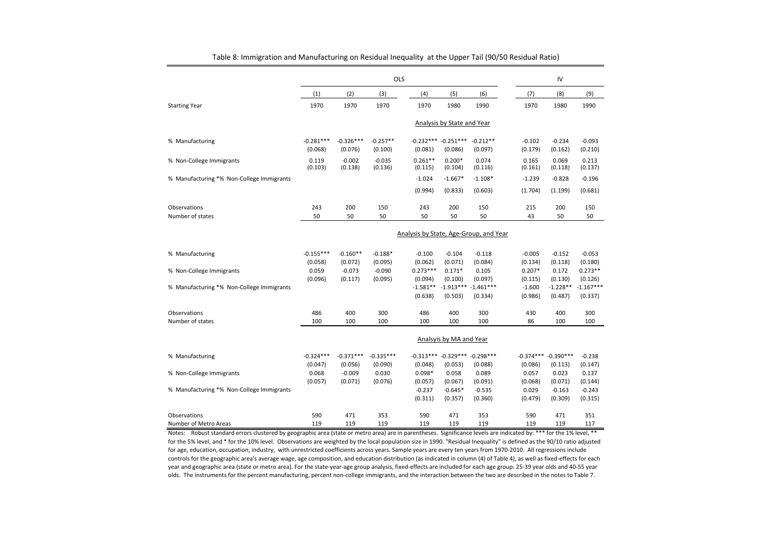|                                           |                        |                        | OLS                    |                                        |                                    |                       |                        | IV                     |                        |
|-------------------------------------------|------------------------|------------------------|------------------------|----------------------------------------|------------------------------------|-----------------------|------------------------|------------------------|------------------------|
|                                           | (1)                    | (2)                    | (3)                    | (4)                                    | (5)                                | (6)                   | (7)                    | (8)                    | (9)                    |
| <b>Starting Year</b>                      | 1970                   | 1970                   | 1970                   | 1970                                   | 1980                               | 1990                  | 1970                   | 1980                   | 1990                   |
|                                           |                        |                        |                        |                                        | Analysis by State and Year         |                       |                        |                        |                        |
| % Manufacturing                           | $-0.281***$<br>(0.068) | $-0.326***$<br>(0.076) | $-0.257**$<br>(0.100)  | $-0.232***$<br>(0.081)                 | $-0.251***$<br>(0.086)             | $-0.212**$<br>(0.097) | $-0.102$<br>(0.179)    | $-0.234$<br>(0.162)    | $-0.093$<br>(0.210)    |
| % Non-College Immigrants                  | 0.119<br>(0.103)       | $-0.002$<br>(0.138)    | $-0.035$<br>(0.136)    | $0.261**$<br>(0.115)                   | $0.200*$<br>(0.104)                | 0.074<br>(0.116)      | 0.165<br>(0.161)       | 0.069<br>(0.118)       | 0.213<br>(0.137)       |
| % Manufacturing *% Non-College Immigrants |                        |                        |                        | $-1.024$                               | $-1.667*$                          | $-1.108*$             | $-1.239$               | $-0.828$               | $-0.196$               |
|                                           |                        |                        |                        | (0.994)                                | (0.833)                            | (0.603)               | (1.704)                | (1.199)                | (0.681)                |
| Observations<br>Number of states          | 243<br>50              | 200<br>50              | 150<br>50              | 243<br>50                              | 200<br>50                          | 150<br>50             | 215<br>43              | 200<br>50              | 150<br>50              |
|                                           |                        |                        |                        | Analysis by State, Age-Group, and Year |                                    |                       |                        |                        |                        |
| % Manufacturing                           | $-0.155***$<br>(0.058) | $-0.160**$<br>(0.072)  | $-0.188*$<br>(0.095)   | $-0.100$<br>(0.062)                    | $-0.104$<br>(0.071)                | $-0.118$<br>(0.084)   | $-0.005$<br>(0.134)    | $-0.152$<br>(0.118)    | $-0.053$<br>(0.180)    |
| % Non-College Immigrants                  | 0.059                  | $-0.073$               | $-0.090$               | $0.273***$                             | $0.171*$                           | 0.105                 | $0.207*$               | 0.172                  | $0.273**$              |
| % Manufacturing *% Non-College Immigrants | (0.096)                | (0.117)                | (0.095)                | (0.094)<br>$-1.581**$                  | (0.100)<br>$-1.913***$ $-1.461***$ | (0.097)               | (0.115)<br>$-1.600$    | (0.130)<br>$-1.228**$  | (0.126)<br>$-1.167***$ |
|                                           |                        |                        |                        | (0.638)                                | (0.503)                            | (0.334)               | (0.986)                | (0.487)                | (0.337)                |
| Observations                              | 486                    | 400                    | 300                    | 486                                    | 400                                | 300                   | 430                    | 400                    | 300                    |
| Number of states                          | 100                    | 100                    | 100                    | 100                                    | 100                                | 100                   | 86                     | 100                    | 100                    |
|                                           |                        |                        |                        |                                        | Analsyis by MA and Year            |                       |                        |                        |                        |
| % Manufacturing                           | $-0.324***$<br>(0.047) | $-0.371***$<br>(0.056) | $-0.335***$<br>(0.090) | $-0.313***$<br>(0.048)                 | $-0.329***$ $-0.298***$<br>(0.053) | (0.088)               | $-0.374***$<br>(0.086) | $-0.390***$<br>(0.113) | $-0.238$<br>(0.147)    |
| % Non-College Immigrants                  | 0.068<br>(0.057)       | $-0.009$<br>(0.071)    | 0.030<br>(0.076)       | $0.098*$<br>(0.057)                    | 0.058<br>(0.067)                   | 0.089<br>(0.091)      | 0.057<br>(0.068)       | 0.023<br>(0.071)       | 0.137<br>(0.144)       |
| % Manufacturing *% Non-College Immigrants |                        |                        |                        | $-0.237$<br>(0.311)                    | $-0.645*$<br>(0.357)               | $-0.535$<br>(0.360)   | 0.029<br>(0.479)       | $-0.163$<br>(0.309)    | $-0.243$<br>(0.315)    |
| Observations<br>Number of Metro Areas     | 590<br>119             | 471<br>119             | 353<br>119             | 590<br>119                             | 471<br>119                         | 353<br>119            | 590<br>119             | 471<br>119             | 351<br>117             |

Table 8: Immigration and Manufacturing on Residual Inequality at the Upper Tail (90/50 Residual Ratio)

Notes: Robust standard errors clustered by geographic area (state or metro area) are in parentheses. Significance levels are indicated by: \*\*\* for the 1% level, \*\* for the 5% level, and \* for the 10% level. Observations are weighted by the local population size in 1990. "Residual Inequality" is defined as the 90/10 ratio adjusted for age, education, occupation, industry, with unrestricted coefficients across years. Sample years are every ten years from 1970-2010. All regressions include controls for the geographic area's average wage, age composition, and education distribution (as indicated in column (4) of Table 4), as well as fixed-effects for each year and geographic area (state or metro area). For the state-year-age group analysis, fixed-effects are included for each age group: 25-39 year olds and 40-55 year olds. The instruments for the percent manufacturing, percent non-college immigrants, and the interaction between the two are described in the notes to Table 7.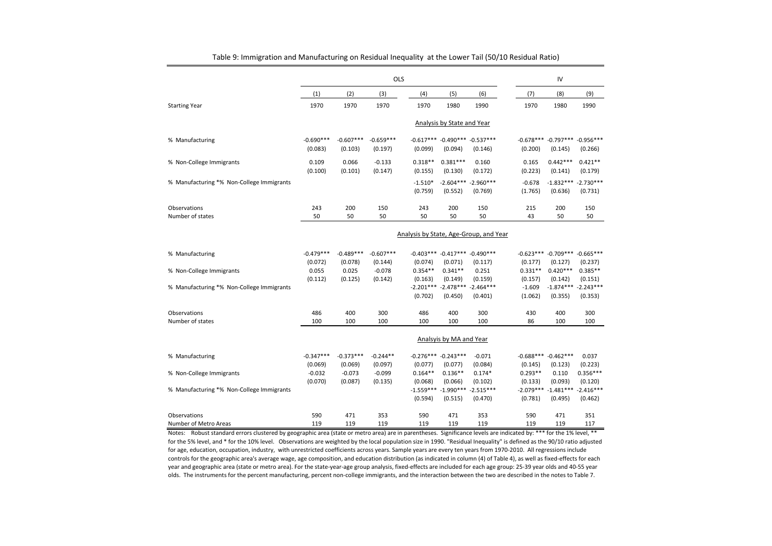|                                           |                        |                        | OLS                    |                        |                                                |                                        |                        | IV                                             |                       |
|-------------------------------------------|------------------------|------------------------|------------------------|------------------------|------------------------------------------------|----------------------------------------|------------------------|------------------------------------------------|-----------------------|
|                                           | (1)                    | (2)                    | (3)                    | (4)                    | (5)                                            | (6)                                    | (7)                    | (8)                                            | (9)                   |
| <b>Starting Year</b>                      | 1970                   | 1970                   | 1970                   | 1970                   | 1980                                           | 1990                                   | 1970                   | 1980                                           | 1990                  |
|                                           |                        |                        |                        |                        | Analysis by State and Year                     |                                        |                        |                                                |                       |
| % Manufacturing                           | $-0.690***$<br>(0.083) | $-0.607***$<br>(0.103) | $-0.659***$<br>(0.197) | (0.099)                | $-0.617***$ $-0.490***$ $-0.537***$<br>(0.094) | (0.146)                                | $-0.678***$<br>(0.200) | $-0.797***$ $-0.956***$<br>(0.145)             | (0.266)               |
| % Non-College Immigrants                  | 0.109<br>(0.100)       | 0.066<br>(0.101)       | $-0.133$<br>(0.147)    | $0.318**$<br>(0.155)   | $0.381***$<br>(0.130)                          | 0.160<br>(0.172)                       | 0.165<br>(0.223)       | $0.442***$<br>(0.141)                          | $0.421**$<br>(0.179)  |
| % Manufacturing *% Non-College Immigrants |                        |                        |                        | $-1.510*$<br>(0.759)   | $-2.604***$ $-2.960***$<br>(0.552)             | (0.769)                                | $-0.678$<br>(1.765)    | $-1.832***$ $-2.730***$<br>(0.636)             | (0.731)               |
| Observations<br>Number of states          | 243<br>50              | 200<br>50              | 150<br>50              | 243<br>50              | 200<br>50                                      | 150<br>50                              | 215<br>43              | 200<br>50                                      | 150<br>50             |
|                                           |                        |                        |                        |                        |                                                | Analysis by State, Age-Group, and Year |                        |                                                |                       |
| % Manufacturing                           | $-0.479***$<br>(0.072) | $-0.489***$<br>(0.078) | $-0.607***$<br>(0.144) | $-0.403***$<br>(0.074) | $-0.417***$ $-0.490***$<br>(0.071)             | (0.117)                                | $-0.623***$<br>(0.177) | $-0.709***$ $-0.665***$<br>(0.127)             | (0.237)               |
| % Non-College Immigrants                  | 0.055<br>(0.112)       | 0.025<br>(0.125)       | $-0.078$<br>(0.142)    | $0.354**$<br>(0.163)   | $0.341**$<br>(0.149)                           | 0.251<br>(0.159)                       | $0.331**$<br>(0.157)   | $0.420***$<br>(0.142)                          | $0.385**$<br>(0.151)  |
| % Manufacturing *% Non-College Immigrants |                        |                        |                        | (0.702)                | $-2.201***$ $-2.478***$ $-2.464***$<br>(0.450) | (0.401)                                | $-1.609$<br>(1.062)    | $-1.874***$ $-2.243***$<br>(0.355)             | (0.353)               |
| Observations<br>Number of states          | 486<br>100             | 400<br>100             | 300<br>100             | 486<br>100             | 400<br>100                                     | 300<br>100                             | 430<br>86              | 400<br>100                                     | 300<br>100            |
|                                           |                        |                        |                        |                        | Analsyis by MA and Year                        |                                        |                        |                                                |                       |
| % Manufacturing                           | $-0.347***$<br>(0.069) | $-0.373***$<br>(0.069) | $-0.244**$<br>(0.097)  | (0.077)                | $-0.276***$ $-0.243***$<br>(0.077)             | $-0.071$<br>(0.084)                    | $-0.688***$<br>(0.145) | $-0.462***$<br>(0.123)                         | 0.037<br>(0.223)      |
| % Non-College Immigrants                  | $-0.032$<br>(0.070)    | $-0.073$<br>(0.087)    | $-0.099$<br>(0.135)    | $0.164**$<br>(0.068)   | $0.136**$<br>(0.066)                           | $0.174*$<br>(0.102)                    | $0.293**$<br>(0.133)   | 0.110<br>(0.093)                               | $0.356***$<br>(0.120) |
| % Manufacturing *% Non-College Immigrants |                        |                        |                        | (0.594)                | $-1.559***$ $-1.990***$ $-2.515***$<br>(0.515) | (0.470)                                | (0.781)                | $-2.079***$ $-1.481***$ $-2.416***$<br>(0.495) | (0.462)               |
| Observations<br>Number of Metro Areas     | 590<br>119             | 471<br>119             | 353<br>119             | 590<br>119             | 471<br>119                                     | 353<br>119                             | 590<br>119             | 471<br>119                                     | 351<br>117            |

Table 9: Immigration and Manufacturing on Residual Inequality at the Lower Tail (50/10 Residual Ratio)

Notes: Robust standard errors clustered by geographic area (state or metro area) are in parentheses. Significance levels are indicated by: \*\*\* for the 1% level, \*\* for the 5% level, and \* for the 10% level. Observations are weighted by the local population size in 1990. "Residual Inequality" is defined as the 90/10 ratio adjusted for age, education, occupation, industry, with unrestricted coefficients across years. Sample years are every ten years from 1970-2010. All regressions include controls for the geographic area's average wage, age composition, and education distribution (as indicated in column (4) of Table 4), as well as fixed-effects for each year and geographic area (state or metro area). For the state-year-age group analysis, fixed-effects are included for each age group: 25-39 year olds and 40-55 year olds. The instruments for the percent manufacturing, percent non-college immigrants, and the interaction between the two are described in the notes to Table 7.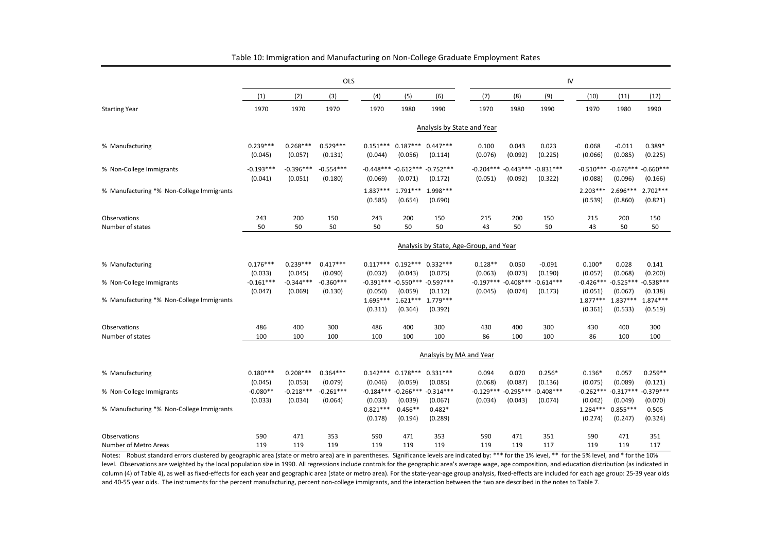|                                                                                                                                                                                                                                                 |                        |                        | OLS                    |                        |                        |                        |                                        |                        |                        | IV                     |                        |                        |
|-------------------------------------------------------------------------------------------------------------------------------------------------------------------------------------------------------------------------------------------------|------------------------|------------------------|------------------------|------------------------|------------------------|------------------------|----------------------------------------|------------------------|------------------------|------------------------|------------------------|------------------------|
|                                                                                                                                                                                                                                                 | (1)                    | (2)                    | (3)                    | (4)                    | (5)                    | (6)                    | (7)                                    | (8)                    | (9)                    | (10)                   | (11)                   | (12)                   |
| <b>Starting Year</b>                                                                                                                                                                                                                            | 1970                   | 1970                   | 1970                   | 1970                   | 1980                   | 1990                   | 1970                                   | 1980                   | 1990                   | 1970                   | 1980                   | 1990                   |
|                                                                                                                                                                                                                                                 |                        |                        |                        |                        |                        |                        | Analysis by State and Year             |                        |                        |                        |                        |                        |
| % Manufacturing                                                                                                                                                                                                                                 | $0.239***$<br>(0.045)  | $0.268***$<br>(0.057)  | $0.529***$<br>(0.131)  | $0.151***$<br>(0.044)  | $0.187***$<br>(0.056)  | $0.447***$<br>(0.114)  | 0.100<br>(0.076)                       | 0.043<br>(0.092)       | 0.023<br>(0.225)       | 0.068<br>(0.066)       | $-0.011$<br>(0.085)    | $0.389*$<br>(0.225)    |
| % Non-College Immigrants                                                                                                                                                                                                                        | $-0.193***$<br>(0.041) | $-0.396***$<br>(0.051) | $-0.554***$<br>(0.180) | $-0.448***$<br>(0.069) | $-0.612***$<br>(0.071) | $-0.752***$<br>(0.172) | $-0.204***$<br>(0.051)                 | $-0.443***$<br>(0.092) | $-0.831***$<br>(0.322) | $-0.510***$<br>(0.088) | $-0.676***$<br>(0.096) | $-0.660***$<br>(0.166) |
| % Manufacturing *% Non-College Immigrants                                                                                                                                                                                                       |                        |                        |                        | $1.837***$<br>(0.585)  | $1.791***$<br>(0.654)  | $1.998***$<br>(0.690)  |                                        |                        |                        | $2.203***$<br>(0.539)  | $2.696***$<br>(0.860)  | $2.702***$<br>(0.821)  |
| Observations<br>Number of states                                                                                                                                                                                                                | 243<br>50              | 200<br>50              | 150<br>50              | 243<br>50              | 200<br>50              | 150<br>50              | 215<br>43                              | 200<br>50              | 150<br>50              | 215<br>43              | 200<br>50              | 150<br>50              |
|                                                                                                                                                                                                                                                 |                        |                        |                        |                        |                        |                        | Analysis by State, Age-Group, and Year |                        |                        |                        |                        |                        |
| % Manufacturing                                                                                                                                                                                                                                 | $0.176***$<br>(0.033)  | $0.239***$<br>(0.045)  | $0.417***$<br>(0.090)  | $0.117***$<br>(0.032)  | $0.192***$<br>(0.043)  | $0.332***$<br>(0.075)  | $0.128**$<br>(0.063)                   | 0.050<br>(0.073)       | $-0.091$<br>(0.190)    | $0.100*$<br>(0.057)    | 0.028<br>(0.068)       | 0.141<br>(0.200)       |
| % Non-College Immigrants                                                                                                                                                                                                                        | $-0.161***$<br>(0.047) | $-0.344***$<br>(0.069) | $-0.360***$<br>(0.130) | $-0.391***$<br>(0.050) | $-0.550***$<br>(0.059) | $-0.597***$<br>(0.112) | $-0.197***$<br>(0.045)                 | $-0.408***$<br>(0.074) | $-0.614***$<br>(0.173) | $-0.426***$<br>(0.051) | $-0.525***$<br>(0.067) | $-0.538***$<br>(0.138) |
| % Manufacturing *% Non-College Immigrants                                                                                                                                                                                                       |                        |                        |                        | $1.695***$<br>(0.311)  | $1.621***$<br>(0.364)  | $1.779***$<br>(0.392)  |                                        |                        |                        | $1.877***$<br>(0.361)  | $1.837***$<br>(0.533)  | $1.874***$<br>(0.519)  |
| Observations<br>Number of states                                                                                                                                                                                                                | 486<br>100             | 400<br>100             | 300<br>100             | 486<br>100             | 400<br>100             | 300<br>100             | 430<br>86                              | 400<br>100             | 300<br>100             | 430<br>86              | 400<br>100             | 300<br>100             |
|                                                                                                                                                                                                                                                 |                        |                        |                        |                        |                        |                        | Analsyis by MA and Year                |                        |                        |                        |                        |                        |
| % Manufacturing                                                                                                                                                                                                                                 | $0.180***$<br>(0.045)  | $0.208***$<br>(0.053)  | $0.364***$<br>(0.079)  | $0.142***$<br>(0.046)  | $0.178***$<br>(0.059)  | $0.331***$<br>(0.085)  | 0.094<br>(0.068)                       | 0.070<br>(0.087)       | $0.256*$<br>(0.136)    | $0.136*$<br>(0.075)    | 0.057<br>(0.089)       | $0.259**$<br>(0.121)   |
| % Non-College Immigrants                                                                                                                                                                                                                        | $-0.080**$<br>(0.033)  | $-0.218***$<br>(0.034) | $-0.261***$<br>(0.064) | $-0.184***$<br>(0.033) | $-0.266***$<br>(0.039) | $-0.314***$<br>(0.067) | $-0.129***$<br>(0.034)                 | $-0.295***$<br>(0.043) | $-0.408***$<br>(0.074) | $-0.262***$<br>(0.042) | $-0.317***$<br>(0.049) | $-0.379***$<br>(0.070) |
| % Manufacturing *% Non-College Immigrants                                                                                                                                                                                                       |                        |                        |                        | $0.821***$<br>(0.178)  | $0.456**$<br>(0.194)   | $0.482*$<br>(0.289)    |                                        |                        |                        | 1.284***<br>(0.274)    | $0.855***$<br>(0.247)  | 0.505<br>(0.324)       |
| Observations<br>Number of Metro Areas<br>Notes: Robust standard errors clustered by geographic area (state or metro area) are in parentheses. Significance levels are indicated by: *** for the 1% level **, for the 5% level and * for the 10% | 590<br>119             | 471<br>119             | 353<br>119             | 590<br>119             | 471<br>119             | 353<br>119             | 590<br>119                             | 471<br>119             | 351<br>117             | 590<br>119             | 471<br>119             | 351<br>117             |

#### Table 10: Immigration and Manufacturing on Non-College Graduate Employment Rates

Notes: Robust standard errors clustered by geographic area (state or metro area) are in parentheses. Significance levels are indicated by: \*\*\* for the 1% level, \*\* for the 5% level, and \* for the 10% level. Observations are weighted by the local population size in 1990. All regressions include controls for the geographic area's average wage, age composition, and education distribution (as indicated in column (4) of Table 4), as well as fixed-effects for each year and geographic area (state or metro area). For the state-year-age group analysis, fixed-effects are included for each age group: 25-39 year olds and 40-55 year olds. The instruments for the percent manufacturing, percent non-college immigrants, and the interaction between the two are described in the notes to Table 7.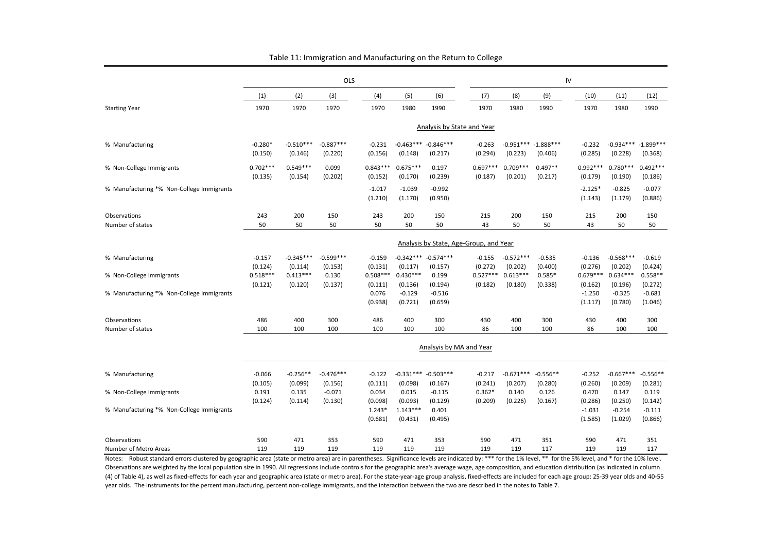|                                           |                       |                        | OLS                    |                                |                                  |                                    |                                        |                        |                        | ${\sf IV}$                     |                                |                                |
|-------------------------------------------|-----------------------|------------------------|------------------------|--------------------------------|----------------------------------|------------------------------------|----------------------------------------|------------------------|------------------------|--------------------------------|--------------------------------|--------------------------------|
|                                           | (1)                   | (2)                    | (3)                    | (4)                            | (5)                              | (6)                                | (7)                                    | (8)                    | (9)                    | (10)                           | (11)                           | (12)                           |
| <b>Starting Year</b>                      | 1970                  | 1970                   | 1970                   | 1970                           | 1980                             | 1990                               | 1970                                   | 1980                   | 1990                   | 1970                           | 1980                           | 1990                           |
|                                           |                       |                        |                        |                                |                                  | Analysis by State and Year         |                                        |                        |                        |                                |                                |                                |
| % Manufacturing                           | $-0.280*$<br>(0.150)  | $-0.510***$<br>(0.146) | $-0.887***$<br>(0.220) | $-0.231$<br>(0.156)            | $-0.463***$<br>(0.148)           | $-0.846***$<br>(0.217)             | $-0.263$<br>(0.294)                    | $-0.951***$<br>(0.223) | $-1.888***$<br>(0.406) | $-0.232$<br>(0.285)            | $-0.934***$<br>(0.228)         | $-1.899***$<br>(0.368)         |
| % Non-College Immigrants                  | $0.702***$<br>(0.135) | $0.549***$<br>(0.154)  | 0.099<br>(0.202)       | $0.843***$<br>(0.152)          | $0.675***$<br>(0.170)            | 0.197<br>(0.239)                   | $0.697***$<br>(0.187)                  | $0.709***$<br>(0.201)  | $0.497**$<br>(0.217)   | $0.992***$<br>(0.179)          | $0.780***$<br>(0.190)          | $0.492***$<br>(0.186)          |
| % Manufacturing *% Non-College Immigrants |                       |                        |                        | $-1.017$<br>(1.210)            | $-1.039$<br>(1.170)              | $-0.992$<br>(0.950)                |                                        |                        |                        | $-2.125*$<br>(1.143)           | $-0.825$<br>(1.179)            | $-0.077$<br>(0.886)            |
| Observations<br>Number of states          | 243<br>50             | 200<br>50              | 150<br>50              | 243<br>50                      | 200<br>50                        | 150<br>50                          | 215<br>43                              | 200<br>50              | 150<br>50              | 215<br>43                      | 200<br>50                      | 150<br>50                      |
|                                           |                       |                        |                        |                                |                                  |                                    | Analysis by State, Age-Group, and Year |                        |                        |                                |                                |                                |
| % Manufacturing                           | $-0.157$<br>(0.124)   | $-0.345***$<br>(0.114) | $-0.599***$<br>(0.153) | $-0.159$<br>(0.131)            | (0.117)                          | $-0.342***$ $-0.574***$<br>(0.157) | $-0.155$<br>(0.272)                    | $-0.572***$<br>(0.202) | $-0.535$<br>(0.400)    | $-0.136$<br>(0.276)            | $-0.568***$<br>(0.202)         | $-0.619$<br>(0.424)            |
| % Non-College Immigrants                  | $0.518***$<br>(0.121) | $0.413***$<br>(0.120)  | 0.130<br>(0.137)       | $0.508***$<br>(0.111)          | $0.430***$<br>(0.136)            | 0.199<br>(0.194)                   | $0.527***$<br>(0.182)                  | $0.613***$<br>(0.180)  | $0.585*$<br>(0.338)    | $0.679***$<br>(0.162)          | $0.634***$<br>(0.196)          | $0.558**$<br>(0.272)           |
| % Manufacturing *% Non-College Immigrants |                       |                        |                        | 0.076<br>(0.938)               | $-0.129$<br>(0.721)              | $-0.516$<br>(0.659)                |                                        |                        |                        | $-1.250$<br>(1.117)            | $-0.325$<br>(0.780)            | $-0.681$<br>(1.046)            |
| Observations<br>Number of states          | 486<br>100            | 400<br>100             | 300<br>100             | 486<br>100                     | 400<br>100                       | 300<br>100                         | 430<br>86                              | 400<br>100             | 300<br>100             | 430<br>86                      | 400<br>100                     | 300<br>100                     |
|                                           |                       |                        |                        |                                |                                  | Analsyis by MA and Year            |                                        |                        |                        |                                |                                |                                |
| % Manufacturing                           | $-0.066$<br>(0.105)   | $-0.256**$<br>(0.099)  | $-0.476***$<br>(0.156) | $-0.122$<br>(0.111)            | $-0.331***$<br>(0.098)           | $-0.503***$<br>(0.167)             | $-0.217$<br>(0.241)                    | $-0.671***$<br>(0.207) | $-0.556**$<br>(0.280)  | $-0.252$<br>(0.260)            | $-0.667***$<br>(0.209)         | $-0.556**$<br>(0.281)          |
| % Non-College Immigrants                  | 0.191                 | 0.135                  | $-0.071$               | 0.034                          | 0.015                            | $-0.115$                           | $0.362*$                               | 0.140                  | 0.126                  | 0.470                          | 0.147                          | 0.119                          |
| % Manufacturing *% Non-College Immigrants | (0.124)               | (0.114)                | (0.130)                | (0.098)<br>$1.243*$<br>(0.681) | (0.093)<br>$1.143***$<br>(0.431) | (0.129)<br>0.401<br>(0.495)        | (0.209)                                | (0.226)                | (0.167)                | (0.286)<br>$-1.031$<br>(1.585) | (0.250)<br>$-0.254$<br>(1.029) | (0.142)<br>$-0.111$<br>(0.866) |
| Observations                              | 590                   | 471                    | 353                    | 590                            | 471                              | 353                                | 590                                    | 471                    | 351                    | 590                            | 471                            | 351                            |
| Number of Metro Areas                     | 119                   | 119                    | 119                    | 119                            | 119                              | 119                                | 119                                    | 119                    | 117                    | 119                            | 119                            | 117                            |

Table 11: Immigration and Manufacturing on the Return to College

Notes: Robust standard errors clustered by geographic area (state or metro area) are in parentheses. Significance levels are indicated by: \*\*\* for the 1% level, \*\* for the 5% level, and \* for the 10% level. Observations are weighted by the local population size in 1990. All regressions include controls for the geographic area's average wage, age composition, and education distribution (as indicated in column (4) of Table 4), as well as fixed-effects for each year and geographic area (state or metro area). For the state-year-age group analysis, fixed-effects are included for each age group: 25-39 year olds and 40-55 year olds. The instruments for the percent manufacturing, percent non-college immigrants, and the interaction between the two are described in the notes to Table 7.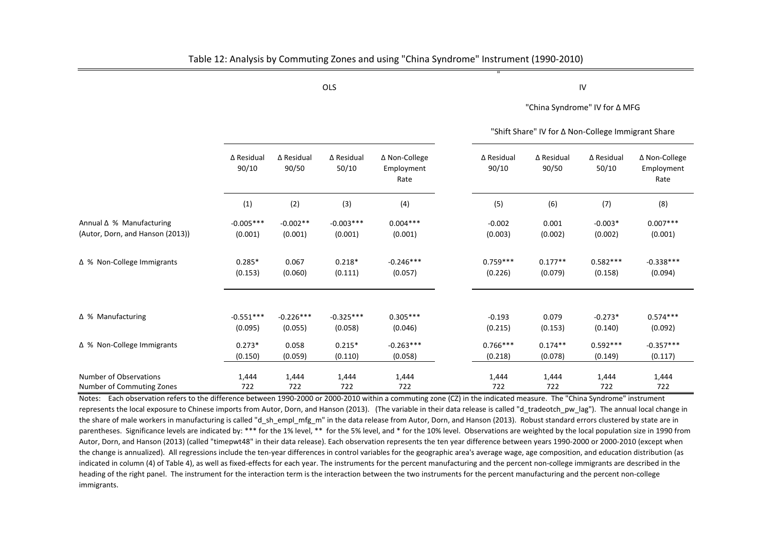|                                                              |                        |                        |                        |                                     | Ŧ                     |                                                    |                       |                                     |
|--------------------------------------------------------------|------------------------|------------------------|------------------------|-------------------------------------|-----------------------|----------------------------------------------------|-----------------------|-------------------------------------|
|                                                              |                        |                        | OLS                    |                                     |                       |                                                    | ${\sf IV}$            |                                     |
|                                                              |                        |                        |                        |                                     |                       | "China Syndrome" IV for ∆ MFG                      |                       |                                     |
|                                                              |                        |                        |                        |                                     |                       | "Shift Share" IV for ∆ Non-College Immigrant Share |                       |                                     |
|                                                              | ∆ Residual<br>90/10    | ∆ Residual<br>90/50    | ∆ Residual<br>50/10    | ∆ Non-College<br>Employment<br>Rate | ∆ Residual<br>90/10   | ∆ Residual<br>90/50                                | ∆ Residual<br>50/10   | ∆ Non-College<br>Employment<br>Rate |
|                                                              | (1)                    | (2)                    | (3)                    | (4)                                 | (5)                   | (6)                                                | (7)                   | (8)                                 |
| Annual ∆ % Manufacturing<br>(Autor, Dorn, and Hanson (2013)) | $-0.005***$<br>(0.001) | $-0.002**$<br>(0.001)  | $-0.003***$<br>(0.001) | $0.004***$<br>(0.001)               | $-0.002$<br>(0.003)   | 0.001<br>(0.002)                                   | $-0.003*$<br>(0.002)  | $0.007***$<br>(0.001)               |
| Δ % Non-College Immigrants                                   | $0.285*$<br>(0.153)    | 0.067<br>(0.060)       | $0.218*$<br>(0.111)    | $-0.246***$<br>(0.057)              | $0.759***$<br>(0.226) | $0.177**$<br>(0.079)                               | $0.582***$<br>(0.158) | $-0.338***$<br>(0.094)              |
| Δ % Manufacturing                                            | $-0.551***$<br>(0.095) | $-0.226***$<br>(0.055) | $-0.325***$<br>(0.058) | $0.305***$<br>(0.046)               | $-0.193$<br>(0.215)   | 0.079<br>(0.153)                                   | $-0.273*$<br>(0.140)  | $0.574***$<br>(0.092)               |
| Δ % Non-College Immigrants                                   | $0.273*$<br>(0.150)    | 0.058<br>(0.059)       | $0.215*$<br>(0.110)    | $-0.263***$<br>(0.058)              | $0.766***$<br>(0.218) | $0.174**$<br>(0.078)                               | $0.592***$<br>(0.149) | $-0.357***$<br>(0.117)              |
| Number of Observations<br>Number of Commuting Zones          | 1,444<br>722           | 1,444<br>722           | 1,444<br>722           | 1,444<br>722                        | 1,444<br>722          | 1,444<br>722                                       | 1,444<br>722          | 1,444<br>722                        |

Table 12: Analysis by Commuting Zones and using "China Syndrome" Instrument (1990-2010)

Notes: Each observation refers to the difference between 1990-2000 or 2000-2010 within a commuting zone (CZ) in the indicated measure. The "China Syndrome" instrument represents the local exposure to Chinese imports from Autor, Dorn, and Hanson (2013). (The variable in their data release is called "d\_tradeotch\_pw\_lag"). The annual local change in the share of male workers in manufacturing is called "d\_sh\_empl\_mfg\_m" in the data release from Autor, Dorn, and Hanson (2013). Robust standard errors clustered by state are in parentheses. Significance levels are indicated by: \*\*\* for the 1% level, \*\* for the 5% level, and \* for the 10% level. Observations are weighted by the local population size in 1990 from Autor, Dorn, and Hanson (2013) (called "timepwt48" in their data release). Each observation represents the ten year difference between years 1990-2000 or 2000-2010 (except when the change is annualized). All regressions include the ten-year differences in control variables for the geographic area's average wage, age composition, and education distribution (as indicated in column (4) of Table 4), as well as fixed-effects for each year. The instruments for the percent manufacturing and the percent non-college immigrants are described in the heading of the right panel. The instrument for the interaction term is the interaction between the two instruments for the percent manufacturing and the percent non-college immigrants.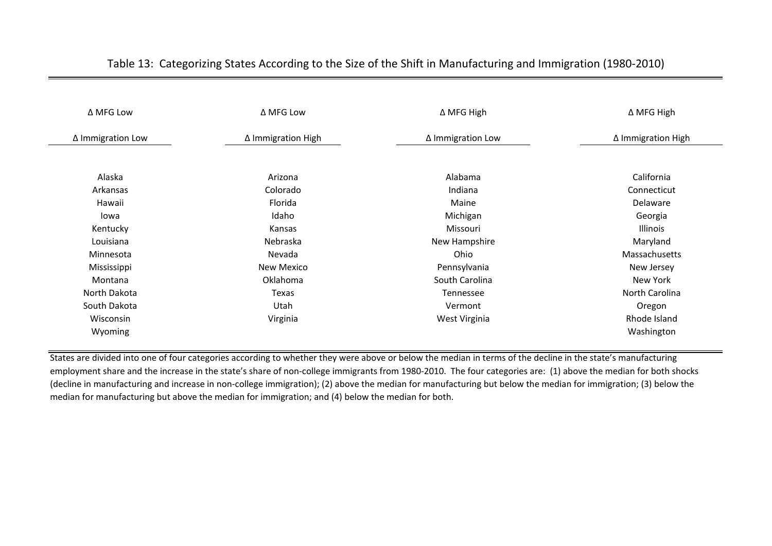| Δ MFG Low         | Δ MFG Low          | ∆ MFG High        | ∆ MFG High         |
|-------------------|--------------------|-------------------|--------------------|
| Δ Immigration Low | Δ Immigration High | Δ Immigration Low | Δ Immigration High |
|                   |                    |                   |                    |
| Alaska            | Arizona            | Alabama           | California         |
| Arkansas          | Colorado           | Indiana           | Connecticut        |
| Hawaii            | Florida            | Maine             | Delaware           |
| Iowa              | Idaho              | Michigan          | Georgia            |
| Kentucky          | Kansas             | Missouri          | <b>Illinois</b>    |
| Louisiana         | Nebraska           | New Hampshire     | Maryland           |
| Minnesota         | Nevada             | Ohio              | Massachusetts      |
| Mississippi       | New Mexico         | Pennsylvania      | New Jersey         |
| Montana           | Oklahoma           | South Carolina    | New York           |
| North Dakota      | Texas              | Tennessee         | North Carolina     |
| South Dakota      | Utah               | Vermont           | Oregon             |
| Wisconsin         | Virginia           | West Virginia     | Rhode Island       |
| Wyoming           |                    |                   | Washington         |

Table 13: Categorizing States According to the Size of the Shift in Manufacturing and Immigration (1980-2010)

States are divided into one of four categories according to whether they were above or below the median in terms of the decline in the state's manufacturing employment share and the increase in the state's share of non-college immigrants from 1980-2010. The four categories are: (1) above the median for both shocks (decline in manufacturing and increase in non-college immigration); (2) above the median for manufacturing but below the median for immigration; (3) below the median for manufacturing but above the median for immigration; and (4) below the median for both.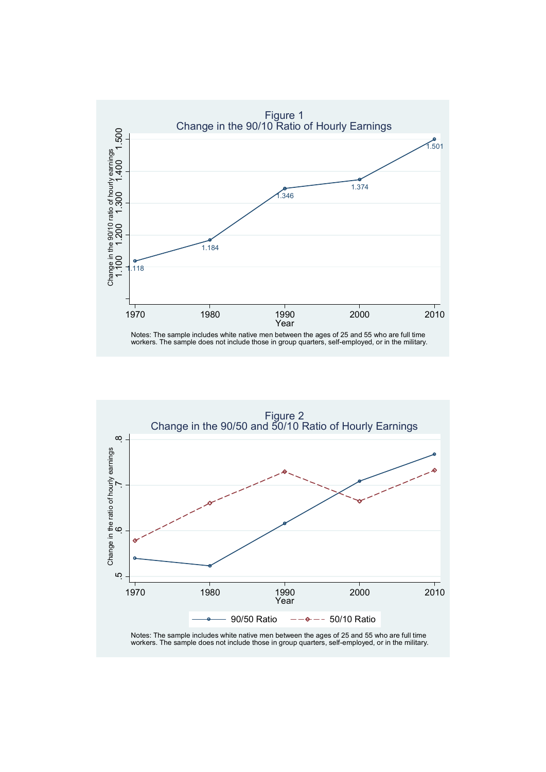

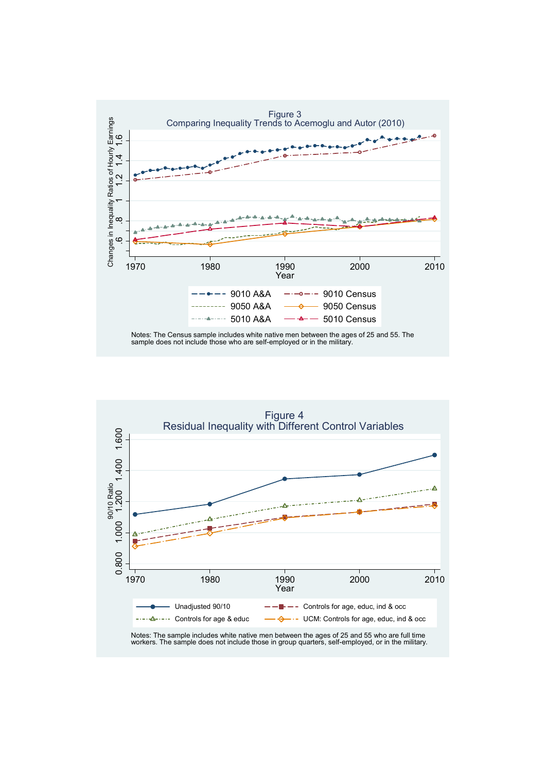

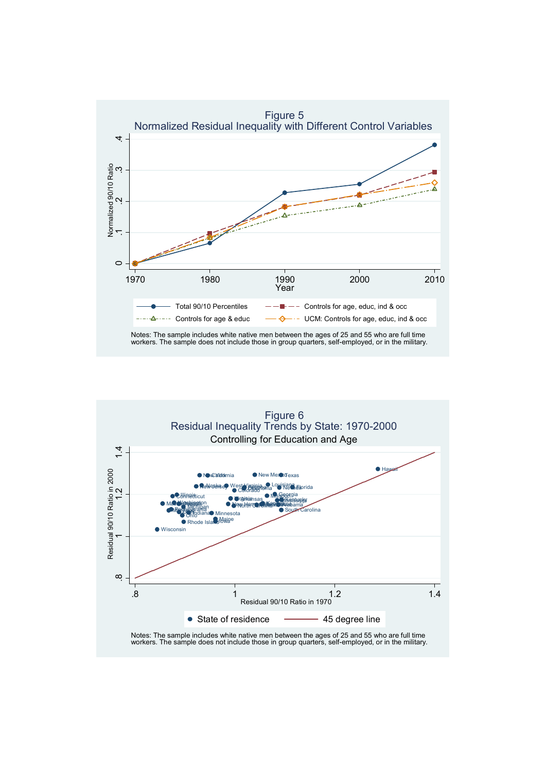

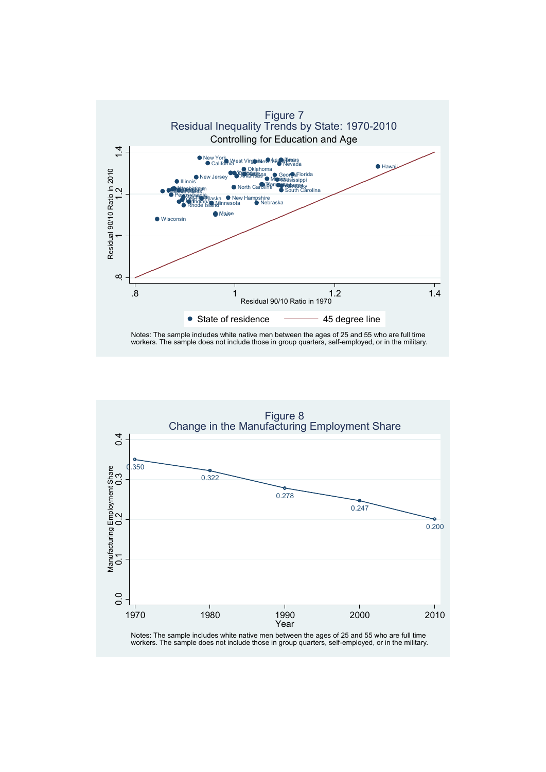

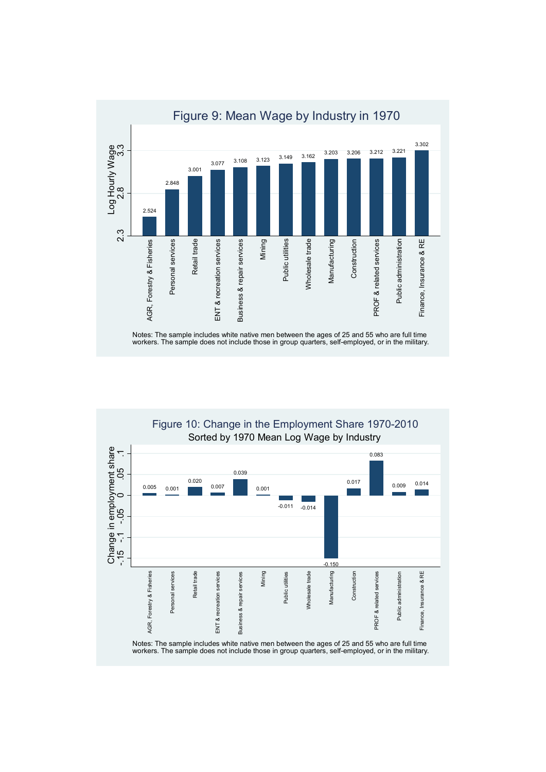

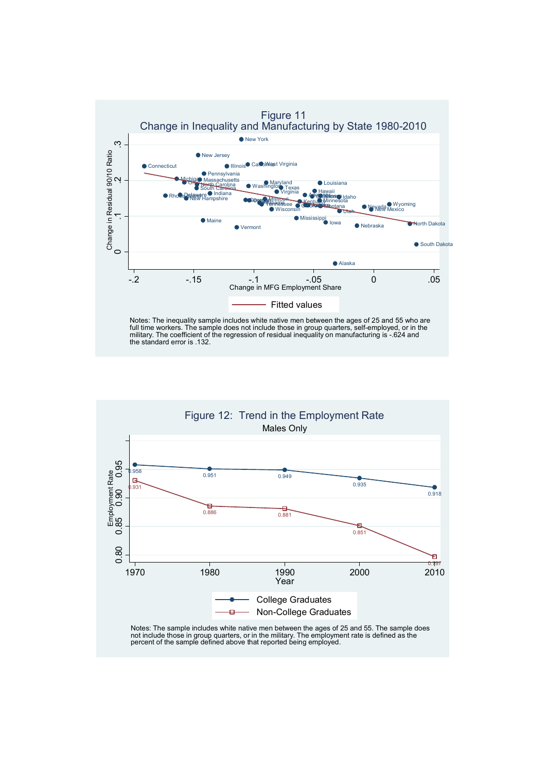





Notes: The sample includes white native men between the ages of 25 and 55. The sample does not include those in group quarters, or in the military. The employment rate is defined as the percent of the sample defined above that reported being employed.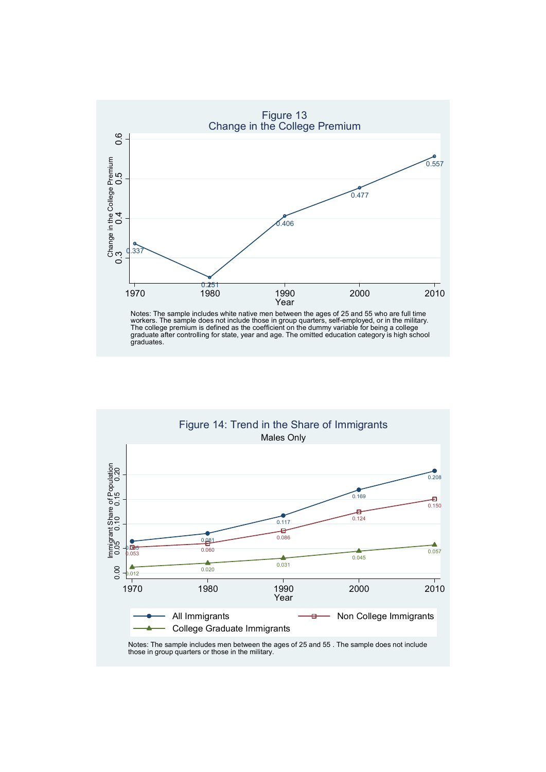



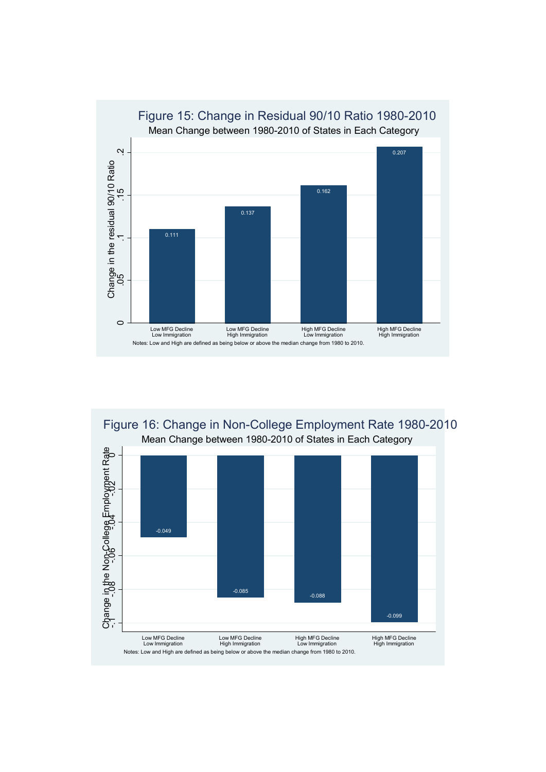

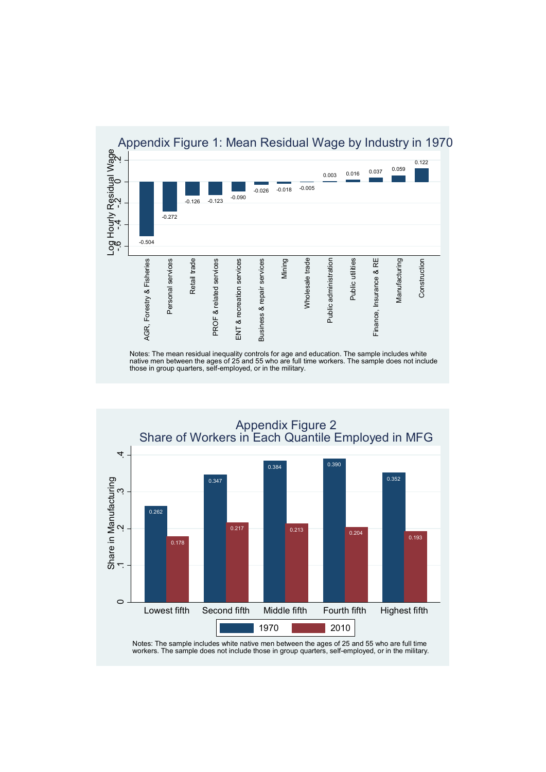



Notes: The sample includes white native men between the ages of 25 and 55 who are full time workers. The sample does not include those in group quarters, self-employed, or in the military.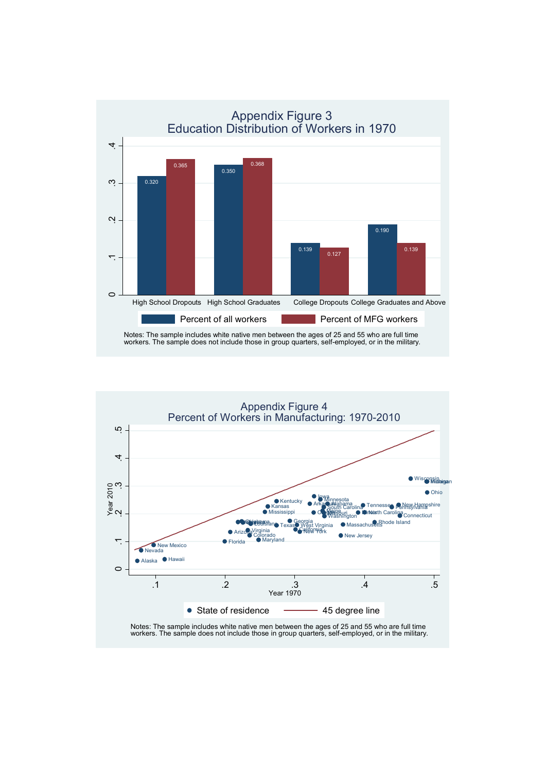

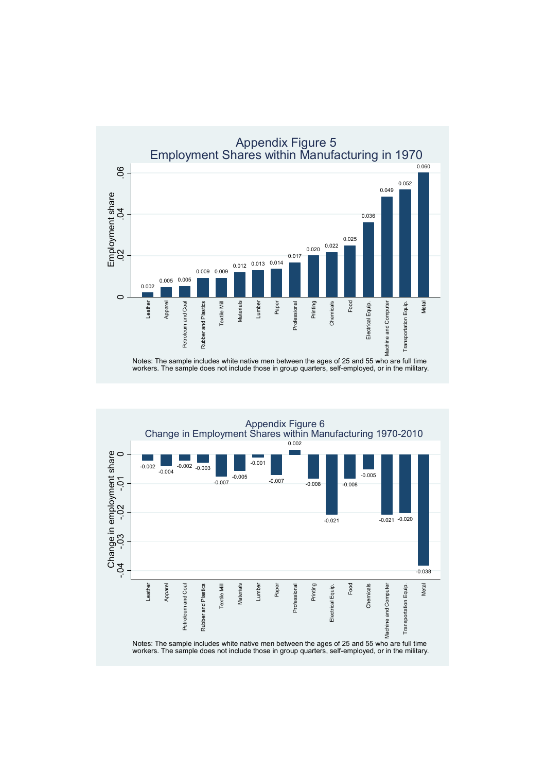